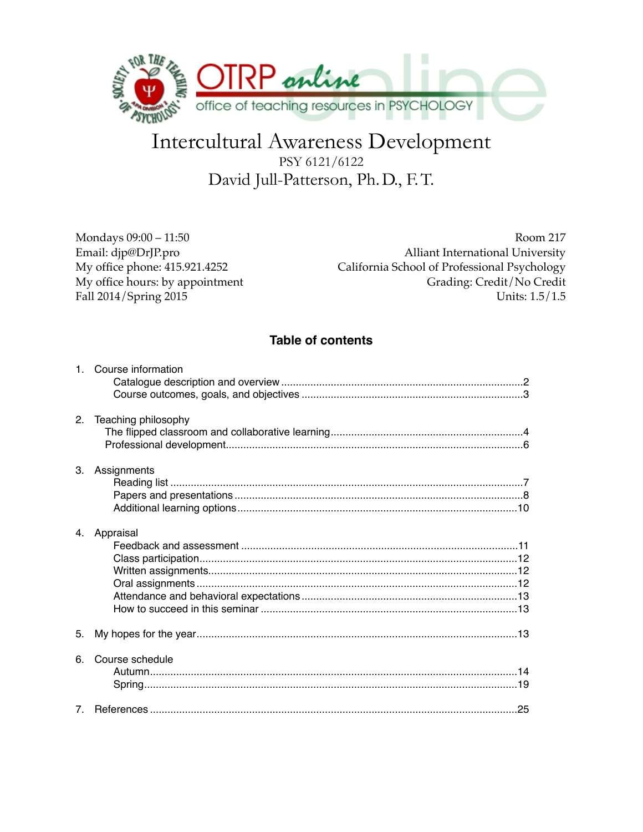

# Intercultural Awareness Development PSY 6121/6122 David Jull-Patterson, Ph. D., F.T.

Mondays 09:00 - 11:50 Email: djp@DrJP.pro My office phone: 415.921.4252 My office hours: by appointment Fall 2014/Spring 2015

Room 217 **Alliant International University** California School of Professional Psychology Grading: Credit/No Credit Units: 1.5/1.5

# **Table of contents**

|             | 1. Course information |
|-------------|-----------------------|
| $2^{\circ}$ | Teaching philosophy   |
| 3.          | Assignments           |
|             | 4. Appraisal          |
| 5.          |                       |
| 6.          | Course schedule       |
| $7^{\circ}$ |                       |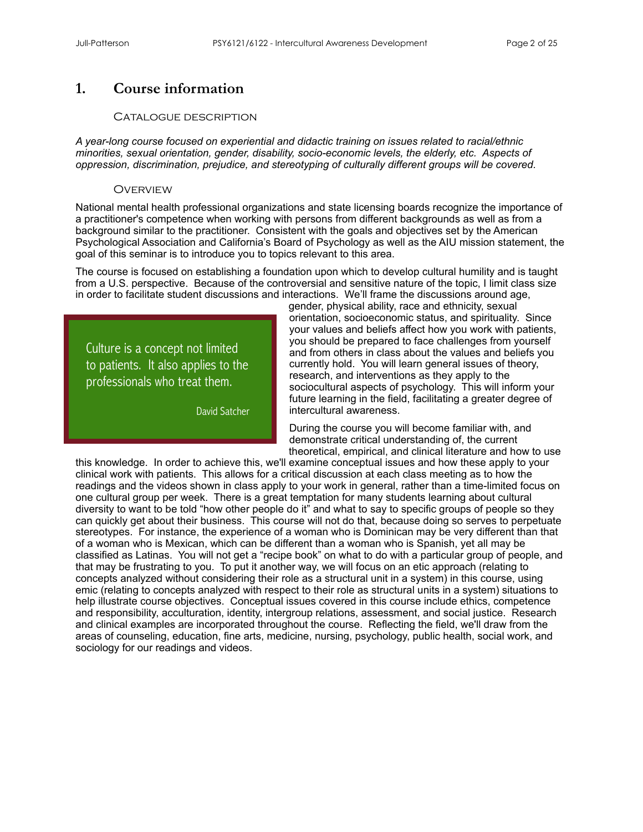# **1. Course information**

#### Catalogue description

*A year-long course focused on experiential and didactic training on issues related to racial/ethnic minorities, sexual orientation, gender, disability, socio-economic levels, the elderly, etc. Aspects of oppression, discrimination, prejudice, and stereotyping of culturally different groups will be covered.*

#### **OVERVIEW**

National mental health professional organizations and state licensing boards recognize the importance of a practitioner's competence when working with persons from different backgrounds as well as from a background similar to the practitioner. Consistent with the goals and objectives set by the American Psychological Association and California's Board of Psychology as well as the AIU mission statement, the goal of this seminar is to introduce you to topics relevant to this area.

The course is focused on establishing a foundation upon which to develop cultural humility and is taught from a U.S. perspective. Because of the controversial and sensitive nature of the topic, I limit class size in order to facilitate student discussions and interactions. We'll frame the discussions around age,

Culture is a concept not limited to patients. It also applies to the professionals who treat them.

David Satcher

gender, physical ability, race and ethnicity, sexual orientation, socioeconomic status, and spirituality. Since your values and beliefs affect how you work with patients, you should be prepared to face challenges from yourself and from others in class about the values and beliefs you currently hold. You will learn general issues of theory, research, and interventions as they apply to the sociocultural aspects of psychology. This will inform your future learning in the field, facilitating a greater degree of intercultural awareness.

During the course you will become familiar with, and demonstrate critical understanding of, the current theoretical, empirical, and clinical literature and how to use

this knowledge. In order to achieve this, we'll examine conceptual issues and how these apply to your clinical work with patients. This allows for a critical discussion at each class meeting as to how the readings and the videos shown in class apply to your work in general, rather than a time-limited focus on one cultural group per week. There is a great temptation for many students learning about cultural diversity to want to be told "how other people do it" and what to say to specific groups of people so they can quickly get about their business. This course will not do that, because doing so serves to perpetuate stereotypes. For instance, the experience of a woman who is Dominican may be very different than that of a woman who is Mexican, which can be different than a woman who is Spanish, yet all may be classified as Latinas. You will not get a "recipe book" on what to do with a particular group of people, and that may be frustrating to you. To put it another way, we will focus on an etic approach (relating to concepts analyzed without considering their role as a structural unit in a system) in this course, using emic (relating to concepts analyzed with respect to their role as structural units in a system) situations to help illustrate course objectives. Conceptual issues covered in this course include ethics, competence and responsibility, acculturation, identity, intergroup relations, assessment, and social justice. Research and clinical examples are incorporated throughout the course. Reflecting the field, we'll draw from the areas of counseling, education, fine arts, medicine, nursing, psychology, public health, social work, and sociology for our readings and videos.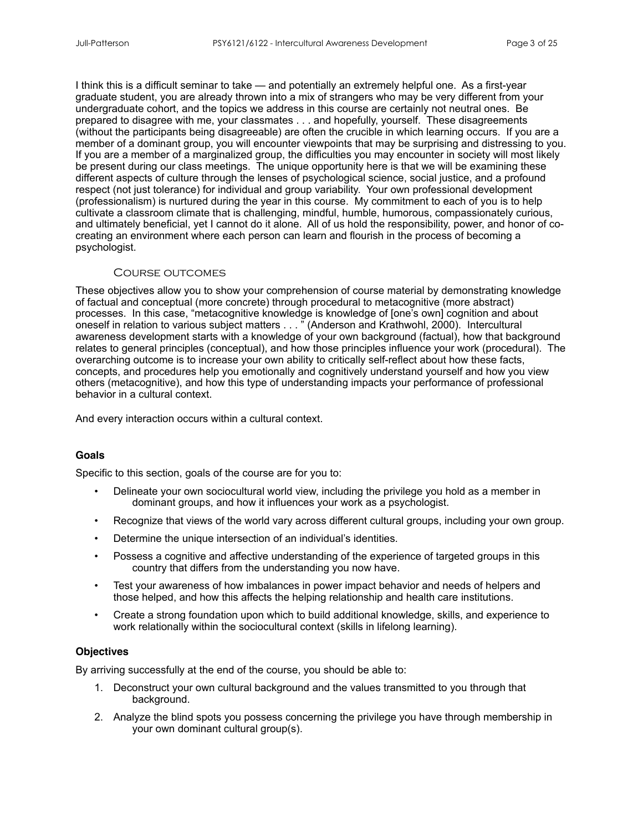I think this is a difficult seminar to take — and potentially an extremely helpful one. As a first-year graduate student, you are already thrown into a mix of strangers who may be very different from your undergraduate cohort, and the topics we address in this course are certainly not neutral ones. Be prepared to disagree with me, your classmates . . . and hopefully, yourself. These disagreements (without the participants being disagreeable) are often the crucible in which learning occurs. If you are a member of a dominant group, you will encounter viewpoints that may be surprising and distressing to you. If you are a member of a marginalized group, the difficulties you may encounter in society will most likely be present during our class meetings. The unique opportunity here is that we will be examining these different aspects of culture through the lenses of psychological science, social justice, and a profound respect (not just tolerance) for individual and group variability. Your own professional development (professionalism) is nurtured during the year in this course. My commitment to each of you is to help cultivate a classroom climate that is challenging, mindful, humble, humorous, compassionately curious, and ultimately beneficial, yet I cannot do it alone. All of us hold the responsibility, power, and honor of cocreating an environment where each person can learn and flourish in the process of becoming a psychologist.

#### Course outcomes

These objectives allow you to show your comprehension of course material by demonstrating knowledge of factual and conceptual (more concrete) through procedural to metacognitive (more abstract) processes. In this case, "metacognitive knowledge is knowledge of [one's own] cognition and about oneself in relation to various subject matters . . . " (Anderson and Krathwohl, 2000). Intercultural awareness development starts with a knowledge of your own background (factual), how that background relates to general principles (conceptual), and how those principles influence your work (procedural). The overarching outcome is to increase your own ability to critically self-reflect about how these facts, concepts, and procedures help you emotionally and cognitively understand yourself and how you view others (metacognitive), and how this type of understanding impacts your performance of professional behavior in a cultural context.

And every interaction occurs within a cultural context.

#### **Goals**

Specific to this section, goals of the course are for you to:

- Delineate your own sociocultural world view, including the privilege you hold as a member in dominant groups, and how it influences your work as a psychologist.
- Recognize that views of the world vary across different cultural groups, including your own group.
- Determine the unique intersection of an individual's identities.
- Possess a cognitive and affective understanding of the experience of targeted groups in this country that differs from the understanding you now have.
- Test your awareness of how imbalances in power impact behavior and needs of helpers and those helped, and how this affects the helping relationship and health care institutions.
- Create a strong foundation upon which to build additional knowledge, skills, and experience to work relationally within the sociocultural context (skills in lifelong learning).

#### **Objectives**

By arriving successfully at the end of the course, you should be able to:

- 1. Deconstruct your own cultural background and the values transmitted to you through that background.
- 2. Analyze the blind spots you possess concerning the privilege you have through membership in your own dominant cultural group(s).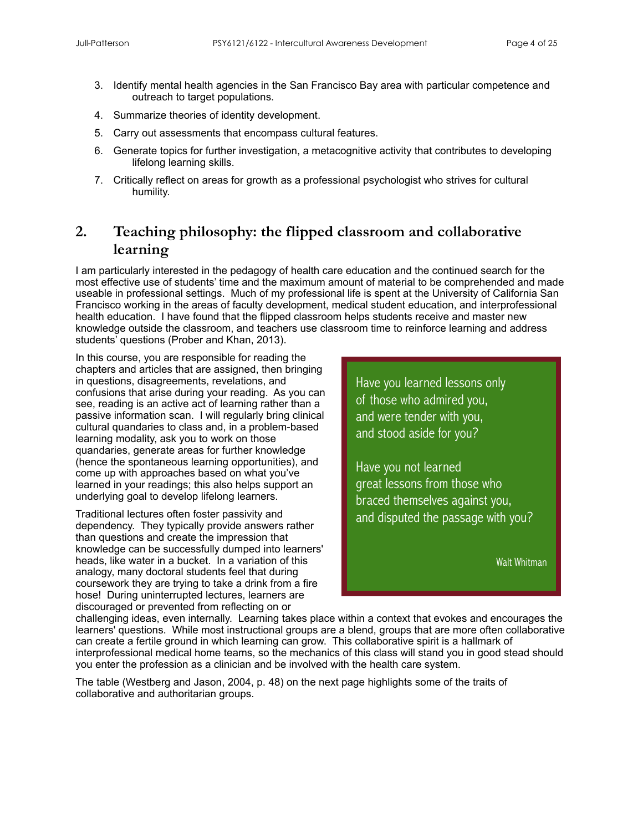- 3. Identify mental health agencies in the San Francisco Bay area with particular competence and outreach to target populations.
- 4. Summarize theories of identity development.
- 5. Carry out assessments that encompass cultural features.
- 6. Generate topics for further investigation, a metacognitive activity that contributes to developing lifelong learning skills.
- 7. Critically reflect on areas for growth as a professional psychologist who strives for cultural humility.

# **2. Teaching philosophy: the flipped classroom and collaborative learning**

I am particularly interested in the pedagogy of health care education and the continued search for the most effective use of students' time and the maximum amount of material to be comprehended and made useable in professional settings. Much of my professional life is spent at the University of California San Francisco working in the areas of faculty development, medical student education, and interprofessional health education. I have found that the flipped classroom helps students receive and master new knowledge outside the classroom, and teachers use classroom time to reinforce learning and address students' questions (Prober and Khan, 2013).

In this course, you are responsible for reading the chapters and articles that are assigned, then bringing in questions, disagreements, revelations, and confusions that arise during your reading. As you can see, reading is an active act of learning rather than a passive information scan. I will regularly bring clinical cultural quandaries to class and, in a problem-based learning modality, ask you to work on those quandaries, generate areas for further knowledge (hence the spontaneous learning opportunities), and come up with approaches based on what you've learned in your readings; this also helps support an underlying goal to develop lifelong learners.

Traditional lectures often foster passivity and dependency. They typically provide answers rather than questions and create the impression that knowledge can be successfully dumped into learners' heads, like water in a bucket. In a variation of this analogy, many doctoral students feel that during coursework they are trying to take a drink from a fire hose! During uninterrupted lectures, learners are discouraged or prevented from reflecting on or

Have you learned lessons only of those who admired you, and were tender with you, and stood aside for you?

Have you not learned great lessons from those who braced themselves against you, and disputed the passage with you?

Walt Whitman

challenging ideas, even internally. Learning takes place within a context that evokes and encourages the learners' questions. While most instructional groups are a blend, groups that are more often collaborative can create a fertile ground in which learning can grow. This collaborative spirit is a hallmark of interprofessional medical home teams, so the mechanics of this class will stand you in good stead should you enter the profession as a clinician and be involved with the health care system.

The table (Westberg and Jason, 2004, p. 48) on the next page highlights some of the traits of collaborative and authoritarian groups.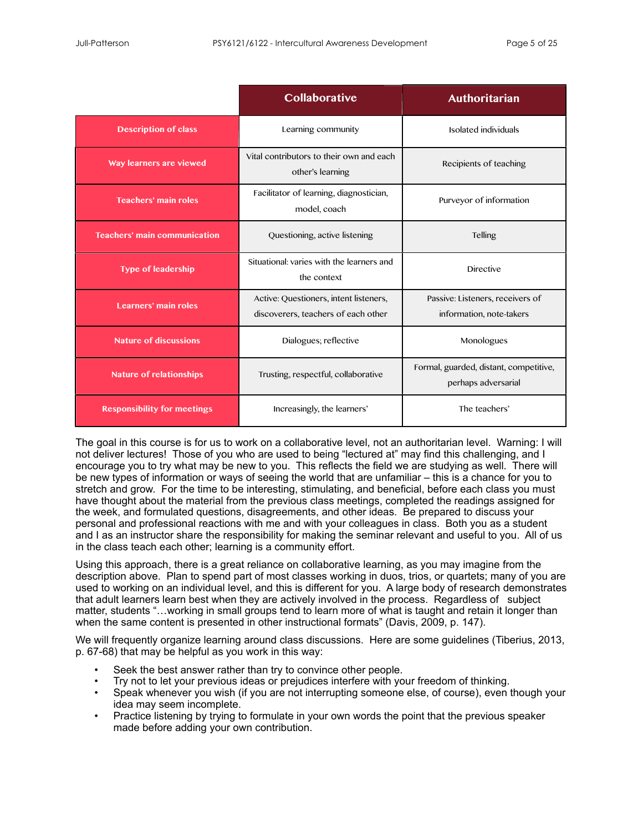|                                     | Collaborative                                                                 | <b>Authoritarian</b>                                          |
|-------------------------------------|-------------------------------------------------------------------------------|---------------------------------------------------------------|
| <b>Description of class</b>         | Learning community                                                            | Isolated individuals                                          |
| Way learners are viewed             | Vital contributors to their own and each<br>other's learning                  | Recipients of teaching                                        |
| <b>Teachers' main roles</b>         | Facilitator of learning, diagnostician,<br>model, coach                       | Purveyor of information                                       |
| <b>Teachers' main communication</b> | Questioning, active listening                                                 | <b>Telling</b>                                                |
| <b>Type of leadership</b>           | Situational: varies with the learners and<br>the context                      | <b>Directive</b>                                              |
| Learners' main roles                | Active: Questioners, intent listeners,<br>discoverers, teachers of each other | Passive: Listeners, receivers of<br>information, note-takers  |
| <b>Nature of discussions</b>        | Dialogues; reflective                                                         | Monologues                                                    |
| Nature of relationships             | Trusting, respectful, collaborative                                           | Formal, guarded, distant, competitive,<br>perhaps adversarial |
| <b>Responsibility for meetings</b>  | Increasingly, the learners'                                                   | The teachers'                                                 |

The goal in this course is for us to work on a collaborative level, not an authoritarian level. Warning: I will not deliver lectures! Those of you who are used to being "lectured at" may find this challenging, and I encourage you to try what may be new to you. This reflects the field we are studying as well. There will be new types of information or ways of seeing the world that are unfamiliar – this is a chance for you to stretch and grow. For the time to be interesting, stimulating, and beneficial, before each class you must have thought about the material from the previous class meetings, completed the readings assigned for the week, and formulated questions, disagreements, and other ideas. Be prepared to discuss your personal and professional reactions with me and with your colleagues in class. Both you as a student and I as an instructor share the responsibility for making the seminar relevant and useful to you. All of us in the class teach each other; learning is a community effort.

Using this approach, there is a great reliance on collaborative learning, as you may imagine from the description above. Plan to spend part of most classes working in duos, trios, or quartets; many of you are used to working on an individual level, and this is different for you. A large body of research demonstrates that adult learners learn best when they are actively involved in the process. Regardless of subject matter, students "…working in small groups tend to learn more of what is taught and retain it longer than when the same content is presented in other instructional formats" (Davis, 2009, p. 147).

We will frequently organize learning around class discussions. Here are some guidelines (Tiberius, 2013, p. 67-68) that may be helpful as you work in this way:

- Seek the best answer rather than try to convince other people.
- Try not to let your previous ideas or prejudices interfere with your freedom of thinking.
- Speak whenever you wish (if you are not interrupting someone else, of course), even though your idea may seem incomplete.
- Practice listening by trying to formulate in your own words the point that the previous speaker made before adding your own contribution.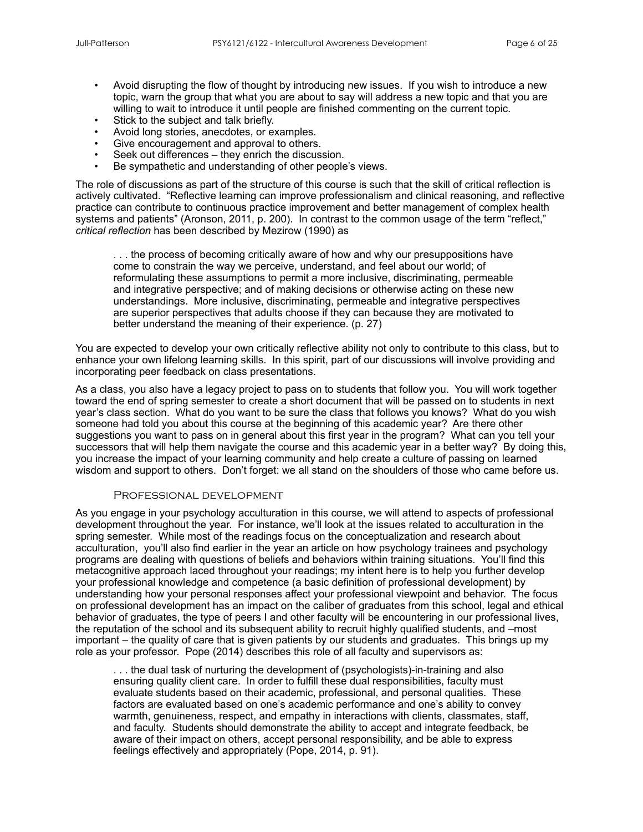- Avoid disrupting the flow of thought by introducing new issues. If you wish to introduce a new topic, warn the group that what you are about to say will address a new topic and that you are willing to wait to introduce it until people are finished commenting on the current topic.
- Stick to the subject and talk briefly.
- Avoid long stories, anecdotes, or examples.
- Give encouragement and approval to others.
- Seek out differences they enrich the discussion.
- Be sympathetic and understanding of other people's views.

The role of discussions as part of the structure of this course is such that the skill of critical reflection is actively cultivated. "Reflective learning can improve professionalism and clinical reasoning, and reflective practice can contribute to continuous practice improvement and better management of complex health systems and patients" (Aronson, 2011, p. 200). In contrast to the common usage of the term "reflect," *critical reflection* has been described by Mezirow (1990) as

... the process of becoming critically aware of how and why our presuppositions have come to constrain the way we perceive, understand, and feel about our world; of reformulating these assumptions to permit a more inclusive, discriminating, permeable and integrative perspective; and of making decisions or otherwise acting on these new understandings. More inclusive, discriminating, permeable and integrative perspectives are superior perspectives that adults choose if they can because they are motivated to better understand the meaning of their experience. (p. 27)

You are expected to develop your own critically reflective ability not only to contribute to this class, but to enhance your own lifelong learning skills. In this spirit, part of our discussions will involve providing and incorporating peer feedback on class presentations.

As a class, you also have a legacy project to pass on to students that follow you. You will work together toward the end of spring semester to create a short document that will be passed on to students in next year's class section. What do you want to be sure the class that follows you knows? What do you wish someone had told you about this course at the beginning of this academic year? Are there other suggestions you want to pass on in general about this first year in the program? What can you tell your successors that will help them navigate the course and this academic year in a better way? By doing this, you increase the impact of your learning community and help create a culture of passing on learned wisdom and support to others. Don't forget: we all stand on the shoulders of those who came before us.

#### Professional development

As you engage in your psychology acculturation in this course, we will attend to aspects of professional development throughout the year. For instance, we'll look at the issues related to acculturation in the spring semester. While most of the readings focus on the conceptualization and research about acculturation, you'll also find earlier in the year an article on how psychology trainees and psychology programs are dealing with questions of beliefs and behaviors within training situations. You'll find this metacognitive approach laced throughout your readings; my intent here is to help you further develop your professional knowledge and competence (a basic definition of professional development) by understanding how your personal responses affect your professional viewpoint and behavior. The focus on professional development has an impact on the caliber of graduates from this school, legal and ethical behavior of graduates, the type of peers I and other faculty will be encountering in our professional lives, the reputation of the school and its subsequent ability to recruit highly qualified students, and –most important – the quality of care that is given patients by our students and graduates. This brings up my role as your professor. Pope (2014) describes this role of all faculty and supervisors as:

. . . the dual task of nurturing the development of (psychologists)-in-training and also ensuring quality client care. In order to fulfill these dual responsibilities, faculty must evaluate students based on their academic, professional, and personal qualities. These factors are evaluated based on one's academic performance and one's ability to convey warmth, genuineness, respect, and empathy in interactions with clients, classmates, staff, and faculty. Students should demonstrate the ability to accept and integrate feedback, be aware of their impact on others, accept personal responsibility, and be able to express feelings effectively and appropriately (Pope, 2014, p. 91).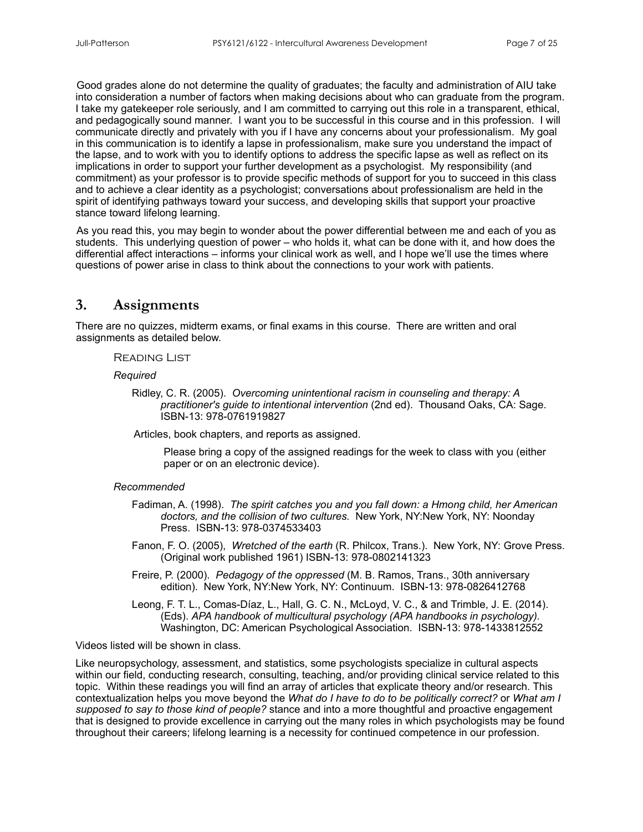Good grades alone do not determine the quality of graduates; the faculty and administration of AIU take into consideration a number of factors when making decisions about who can graduate from the program. I take my gatekeeper role seriously, and I am committed to carrying out this role in a transparent, ethical, and pedagogically sound manner. I want you to be successful in this course and in this profession. I will communicate directly and privately with you if I have any concerns about your professionalism. My goal in this communication is to identify a lapse in professionalism, make sure you understand the impact of the lapse, and to work with you to identify options to address the specific lapse as well as reflect on its implications in order to support your further development as a psychologist. My responsibility (and commitment) as your professor is to provide specific methods of support for you to succeed in this class and to achieve a clear identity as a psychologist; conversations about professionalism are held in the spirit of identifying pathways toward your success, and developing skills that support your proactive stance toward lifelong learning.

As you read this, you may begin to wonder about the power differential between me and each of you as students. This underlying question of power – who holds it, what can be done with it, and how does the differential affect interactions – informs your clinical work as well, and I hope we'll use the times where questions of power arise in class to think about the connections to your work with patients.

## **3. Assignments**

There are no quizzes, midterm exams, or final exams in this course. There are written and oral assignments as detailed below.

Reading List

 *Required*

Ridley, C. R. (2005). *Overcoming unintentional racism in counseling and therapy: A practitioner's guide to intentional intervention* (2nd ed). Thousand Oaks, CA: Sage. ISBN-13: 978-0761919827

Articles, book chapters, and reports as assigned.

 Please bring a copy of the assigned readings for the week to class with you (either paper or on an electronic device).

#### *Recommended*

- Fadiman, A. (1998). *The spirit catches you and you fall down: a Hmong child, her American doctors, and the collision of two cultures.* New York, NY:New York, NY: Noonday Press. ISBN-13: 978-0374533403
- Fanon, F. O. (2005), *Wretched of the earth* (R. Philcox, Trans.). New York, NY: Grove Press. (Original work published 1961) ISBN-13: 978-0802141323
- Freire, P. (2000). *Pedagogy of the oppressed* (M. B. Ramos, Trans., 30th anniversary edition). New York, NY:New York, NY: Continuum. ISBN-13: 978-0826412768

Leong, F. T. L., Comas-Díaz, L., Hall, G. C. N., McLoyd, V. C., & and Trimble, J. E. (2014). (Eds). *APA handbook of multicultural psychology (APA handbooks in psychology).* Washington, DC: American Psychological Association. ISBN-13: 978-1433812552

Videos listed will be shown in class.

Like neuropsychology, assessment, and statistics, some psychologists specialize in cultural aspects within our field, conducting research, consulting, teaching, and/or providing clinical service related to this topic. Within these readings you will find an array of articles that explicate theory and/or research. This contextualization helps you move beyond the *What do I have to do to be politically correct?* or *What am I supposed to say to those kind of people?* stance and into a more thoughtful and proactive engagement that is designed to provide excellence in carrying out the many roles in which psychologists may be found throughout their careers; lifelong learning is a necessity for continued competence in our profession.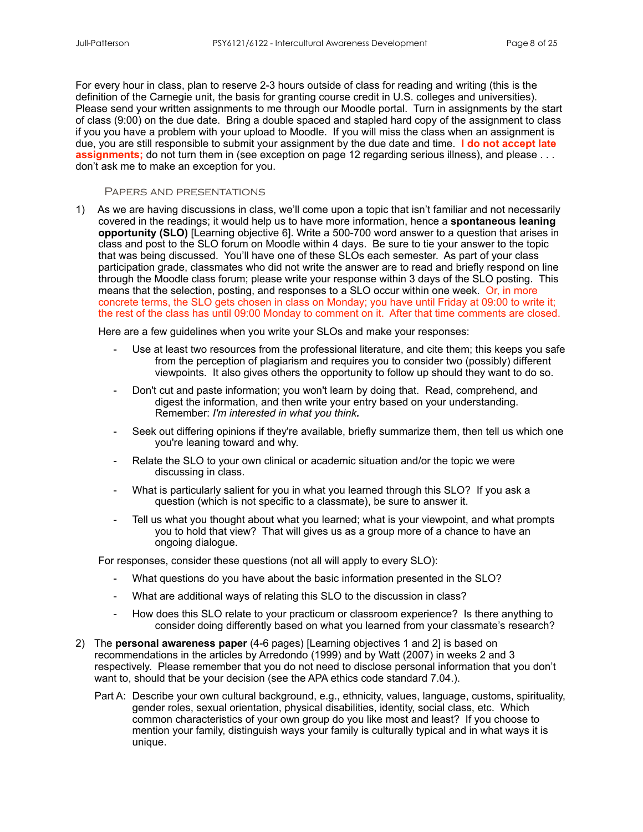For every hour in class, plan to reserve 2-3 hours outside of class for reading and writing (this is the definition of the Carnegie unit, the basis for granting course credit in U.S. colleges and universities). Please send your written assignments to me through our Moodle portal. Turn in assignments by the start of class (9:00) on the due date. Bring a double spaced and stapled hard copy of the assignment to class if you you have a problem with your upload to Moodle. If you will miss the class when an assignment is due, you are still responsible to submit your assignment by the due date and time. **I do not accept late assignments;** do not turn them in (see exception on page 12 regarding serious illness), and please . . . don't ask me to make an exception for you.

#### Papers and presentations

1) As we are having discussions in class, we'll come upon a topic that isn't familiar and not necessarily covered in the readings; it would help us to have more information, hence a **spontaneous leaning opportunity (SLO)** [Learning objective 6]. Write a 500-700 word answer to a question that arises in class and post to the SLO forum on Moodle within 4 days. Be sure to tie your answer to the topic that was being discussed. You'll have one of these SLOs each semester. As part of your class participation grade, classmates who did not write the answer are to read and briefly respond on line through the Moodle class forum; please write your response within 3 days of the SLO posting. This means that the selection, posting, and responses to a SLO occur within one week. Or, in more concrete terms, the SLO gets chosen in class on Monday; you have until Friday at 09:00 to write it; the rest of the class has until 09:00 Monday to comment on it. After that time comments are closed.

Here are a few guidelines when you write your SLOs and make your responses:

- Use at least two resources from the professional literature, and cite them; this keeps you safe from the perception of plagiarism and requires you to consider two (possibly) different viewpoints. It also gives others the opportunity to follow up should they want to do so.
- Don't cut and paste information; you won't learn by doing that. Read, comprehend, and digest the information, and then write your entry based on your understanding. Remember: *I'm interested in what you think.*
- Seek out differing opinions if they're available, briefly summarize them, then tell us which one you're leaning toward and why.
- Relate the SLO to your own clinical or academic situation and/or the topic we were discussing in class.
- What is particularly salient for you in what you learned through this SLO? If you ask a question (which is not specific to a classmate), be sure to answer it.
- Tell us what you thought about what you learned; what is your viewpoint, and what prompts you to hold that view? That will gives us as a group more of a chance to have an ongoing dialogue.

For responses, consider these questions (not all will apply to every SLO):

- What questions do you have about the basic information presented in the SLO?
- What are additional ways of relating this SLO to the discussion in class?
- How does this SLO relate to your practicum or classroom experience? Is there anything to consider doing differently based on what you learned from your classmate's research?
- 2) The **personal awareness paper** (4-6 pages) [Learning objectives 1 and 2] is based on recommendations in the articles by Arredondo (1999) and by Watt (2007) in weeks 2 and 3 respectively. Please remember that you do not need to disclose personal information that you don't want to, should that be your decision (see the APA ethics code standard 7.04.).
	- Part A: Describe your own cultural background, e.g., ethnicity, values, language, customs, spirituality, gender roles, sexual orientation, physical disabilities, identity, social class, etc. Which common characteristics of your own group do you like most and least? If you choose to mention your family, distinguish ways your family is culturally typical and in what ways it is unique.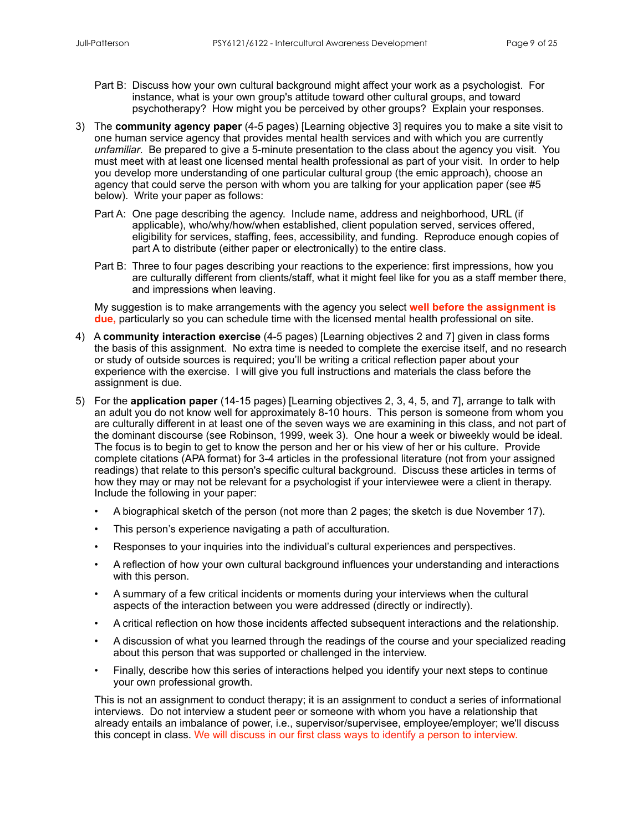- Part B: Discuss how your own cultural background might affect your work as a psychologist. For instance, what is your own group's attitude toward other cultural groups, and toward psychotherapy? How might you be perceived by other groups? Explain your responses.
- 3) The **community agency paper** (4-5 pages) [Learning objective 3] requires you to make a site visit to one human service agency that provides mental health services and with which you are currently *unfamiliar*. Be prepared to give a 5-minute presentation to the class about the agency you visit. You must meet with at least one licensed mental health professional as part of your visit. In order to help you develop more understanding of one particular cultural group (the emic approach), choose an agency that could serve the person with whom you are talking for your application paper (see #5 below). Write your paper as follows:
	- Part A: One page describing the agency. Include name, address and neighborhood, URL (if applicable), who/why/how/when established, client population served, services offered, eligibility for services, staffing, fees, accessibility, and funding. Reproduce enough copies of part A to distribute (either paper or electronically) to the entire class.
	- Part B: Three to four pages describing your reactions to the experience: first impressions, how you are culturally different from clients/staff, what it might feel like for you as a staff member there, and impressions when leaving.

 My suggestion is to make arrangements with the agency you select **well before the assignment is due,** particularly so you can schedule time with the licensed mental health professional on site.

- 4) A **community interaction exercise** (4-5 pages) [Learning objectives 2 and 7] given in class forms the basis of this assignment. No extra time is needed to complete the exercise itself, and no research or study of outside sources is required; you'll be writing a critical reflection paper about your experience with the exercise. I will give you full instructions and materials the class before the assignment is due.
- 5) For the **application paper** (14-15 pages) [Learning objectives 2, 3, 4, 5, and 7], arrange to talk with an adult you do not know well for approximately 8-10 hours. This person is someone from whom you are culturally different in at least one of the seven ways we are examining in this class, and not part of the dominant discourse (see Robinson, 1999, week 3). One hour a week or biweekly would be ideal. The focus is to begin to get to know the person and her or his view of her or his culture. Provide complete citations (APA format) for 3-4 articles in the professional literature (not from your assigned readings) that relate to this person's specific cultural background. Discuss these articles in terms of how they may or may not be relevant for a psychologist if your interviewee were a client in therapy. Include the following in your paper:
	- A biographical sketch of the person (not more than 2 pages; the sketch is due November 17).
	- This person's experience navigating a path of acculturation.
	- Responses to your inquiries into the individual's cultural experiences and perspectives.
	- A reflection of how your own cultural background influences your understanding and interactions with this person.
	- A summary of a few critical incidents or moments during your interviews when the cultural aspects of the interaction between you were addressed (directly or indirectly).
	- A critical reflection on how those incidents affected subsequent interactions and the relationship.
	- A discussion of what you learned through the readings of the course and your specialized reading about this person that was supported or challenged in the interview.
	- Finally, describe how this series of interactions helped you identify your next steps to continue your own professional growth.

This is not an assignment to conduct therapy; it is an assignment to conduct a series of informational interviews. Do not interview a student peer or someone with whom you have a relationship that already entails an imbalance of power, i.e., supervisor/supervisee, employee/employer; we'll discuss this concept in class. We will discuss in our first class ways to identify a person to interview.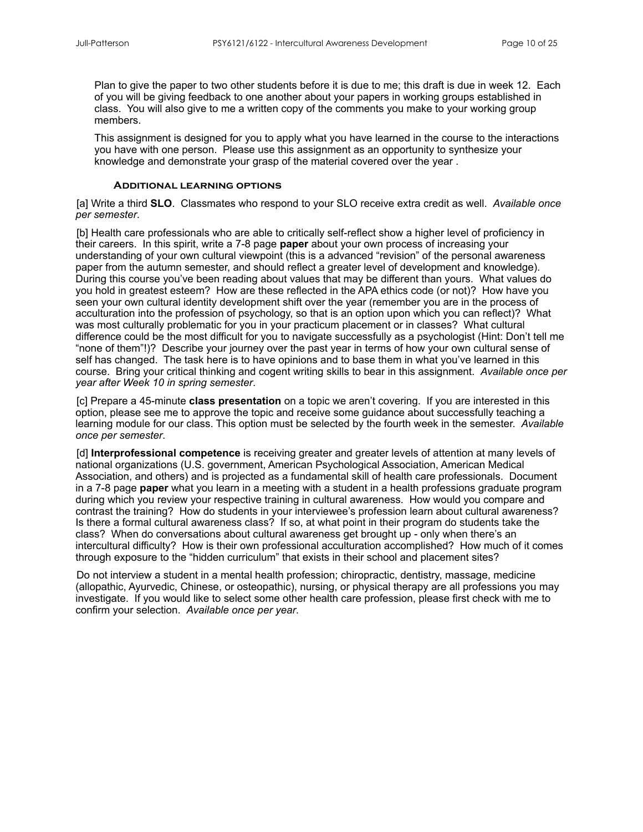Plan to give the paper to two other students before it is due to me; this draft is due in week 12. Each of you will be giving feedback to one another about your papers in working groups established in class. You will also give to me a written copy of the comments you make to your working group members.

This assignment is designed for you to apply what you have learned in the course to the interactions you have with one person. Please use this assignment as an opportunity to synthesize your knowledge and demonstrate your grasp of the material covered over the year .

#### **Additional learning options**

[a] Write a third **SLO**. Classmates who respond to your SLO receive extra credit as well. *Available once per semester*.

[b] Health care professionals who are able to critically self-reflect show a higher level of proficiency in their careers. In this spirit, write a 7-8 page **paper** about your own process of increasing your understanding of your own cultural viewpoint (this is a advanced "revision" of the personal awareness paper from the autumn semester, and should reflect a greater level of development and knowledge). During this course you've been reading about values that may be different than yours. What values do you hold in greatest esteem? How are these reflected in the APA ethics code (or not)? How have you seen your own cultural identity development shift over the year (remember you are in the process of acculturation into the profession of psychology, so that is an option upon which you can reflect)? What was most culturally problematic for you in your practicum placement or in classes? What cultural difference could be the most difficult for you to navigate successfully as a psychologist (Hint: Don't tell me "none of them"!)? Describe your journey over the past year in terms of how your own cultural sense of self has changed. The task here is to have opinions and to base them in what you've learned in this course. Bring your critical thinking and cogent writing skills to bear in this assignment. *Available once per year after Week 10 in spring semester*.

[c] Prepare a 45-minute **class presentation** on a topic we aren't covering. If you are interested in this option, please see me to approve the topic and receive some guidance about successfully teaching a learning module for our class. This option must be selected by the fourth week in the semester. *Available once per semester*.

[d] **Interprofessional competence** is receiving greater and greater levels of attention at many levels of national organizations (U.S. government, American Psychological Association, American Medical Association, and others) and is projected as a fundamental skill of health care professionals. Document in a 7-8 page **paper** what you learn in a meeting with a student in a health professions graduate program during which you review your respective training in cultural awareness. How would you compare and contrast the training? How do students in your interviewee's profession learn about cultural awareness? Is there a formal cultural awareness class? If so, at what point in their program do students take the class? When do conversations about cultural awareness get brought up - only when there's an intercultural difficulty? How is their own professional acculturation accomplished? How much of it comes through exposure to the "hidden curriculum" that exists in their school and placement sites?

Do not interview a student in a mental health profession; chiropractic, dentistry, massage, medicine (allopathic, Ayurvedic, Chinese, or osteopathic), nursing, or physical therapy are all professions you may investigate. If you would like to select some other health care profession, please first check with me to confirm your selection. *Available once per year*.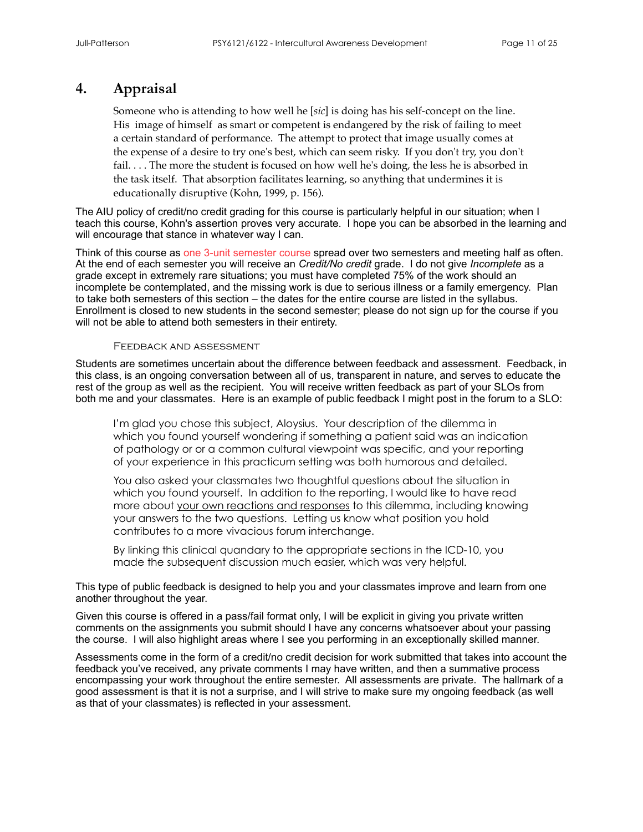# **4. Appraisal**

Someone who is attending to how well he [*sic*] is doing has his self-concept on the line. His image of himself as smart or competent is endangered by the risk of failing to meet a certain standard of performance. The attempt to protect that image usually comes at the expense of a desire to try one's best, which can seem risky. If you don't try, you don't fail. . . . The more the student is focused on how well he's doing, the less he is absorbed in the task itself. That absorption facilitates learning, so anything that undermines it is educationally disruptive (Kohn, 1999, p. 156).

The AIU policy of credit/no credit grading for this course is particularly helpful in our situation; when I teach this course, Kohn's assertion proves very accurate. I hope you can be absorbed in the learning and will encourage that stance in whatever way I can.

Think of this course as one 3-unit semester course spread over two semesters and meeting half as often. At the end of each semester you will receive an *Credit/No credit* grade. I do not give *Incomplete* as a grade except in extremely rare situations; you must have completed 75% of the work should an incomplete be contemplated, and the missing work is due to serious illness or a family emergency. Plan to take both semesters of this section – the dates for the entire course are listed in the syllabus. Enrollment is closed to new students in the second semester; please do not sign up for the course if you will not be able to attend both semesters in their entirety.

#### Feedback and assessment

Students are sometimes uncertain about the difference between feedback and assessment. Feedback, in this class, is an ongoing conversation between all of us, transparent in nature, and serves to educate the rest of the group as well as the recipient. You will receive written feedback as part of your SLOs from both me and your classmates. Here is an example of public feedback I might post in the forum to a SLO:

I'm glad you chose this subject, Aloysius. Your description of the dilemma in which you found yourself wondering if something a patient said was an indication of pathology or or a common cultural viewpoint was specific, and your reporting of your experience in this practicum setting was both humorous and detailed.

You also asked your classmates two thoughtful questions about the situation in which you found yourself. In addition to the reporting, I would like to have read more about your own reactions and responses to this dilemma, including knowing your answers to the two questions. Letting us know what position you hold contributes to a more vivacious forum interchange.

By linking this clinical quandary to the appropriate sections in the ICD-10, you made the subsequent discussion much easier, which was very helpful.

This type of public feedback is designed to help you and your classmates improve and learn from one another throughout the year.

Given this course is offered in a pass/fail format only, I will be explicit in giving you private written comments on the assignments you submit should I have any concerns whatsoever about your passing the course. I will also highlight areas where I see you performing in an exceptionally skilled manner.

Assessments come in the form of a credit/no credit decision for work submitted that takes into account the feedback you've received, any private comments I may have written, and then a summative process encompassing your work throughout the entire semester. All assessments are private. The hallmark of a good assessment is that it is not a surprise, and I will strive to make sure my ongoing feedback (as well as that of your classmates) is reflected in your assessment.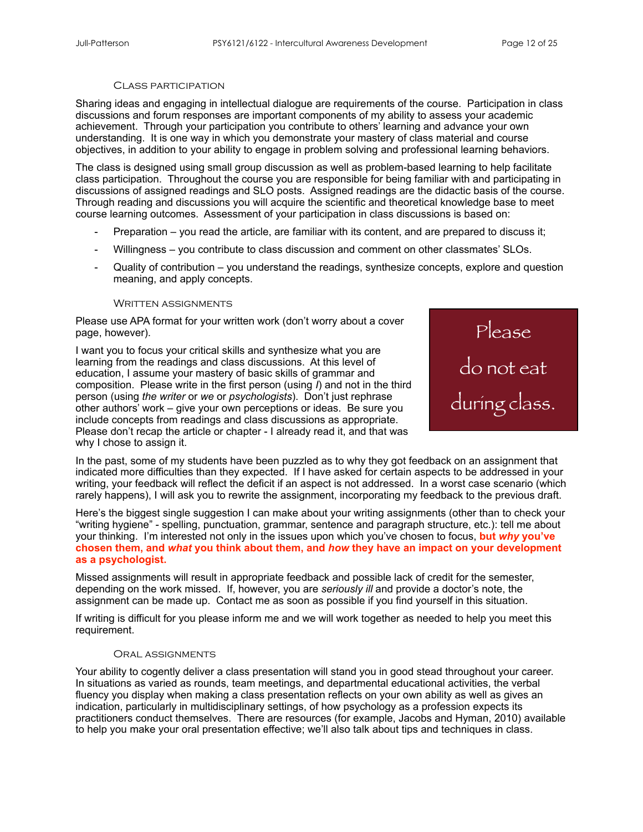#### Class participation

Sharing ideas and engaging in intellectual dialogue are requirements of the course. Participation in class discussions and forum responses are important components of my ability to assess your academic achievement. Through your participation you contribute to others' learning and advance your own understanding. It is one way in which you demonstrate your mastery of class material and course objectives, in addition to your ability to engage in problem solving and professional learning behaviors.

The class is designed using small group discussion as well as problem-based learning to help facilitate class participation. Throughout the course you are responsible for being familiar with and participating in discussions of assigned readings and SLO posts. Assigned readings are the didactic basis of the course. Through reading and discussions you will acquire the scientific and theoretical knowledge base to meet course learning outcomes. Assessment of your participation in class discussions is based on:

- Preparation you read the article, are familiar with its content, and are prepared to discuss it;
- Willingness you contribute to class discussion and comment on other classmates' SLOs.
- Quality of contribution  $-$  you understand the readings, synthesize concepts, explore and question meaning, and apply concepts.

#### WRITTEN ASSIGNMENTS

Please use APA format for your written work (don't worry about a cover page, however).

I want you to focus your critical skills and synthesize what you are learning from the readings and class discussions. At this level of education, I assume your mastery of basic skills of grammar and composition. Please write in the first person (using *I*) and not in the third person (using *the writer* or *we* or *psychologists*). Don't just rephrase other authors' work – give your own perceptions or ideas. Be sure you include concepts from readings and class discussions as appropriate. Please don't recap the article or chapter - I already read it, and that was why I chose to assign it.



In the past, some of my students have been puzzled as to why they got feedback on an assignment that indicated more difficulties than they expected. If I have asked for certain aspects to be addressed in your writing, your feedback will reflect the deficit if an aspect is not addressed. In a worst case scenario (which rarely happens), I will ask you to rewrite the assignment, incorporating my feedback to the previous draft.

Here's the biggest single suggestion I can make about your writing assignments (other than to check your "writing hygiene" - spelling, punctuation, grammar, sentence and paragraph structure, etc.): tell me about your thinking. I'm interested not only in the issues upon which you've chosen to focus, **but** *why* **you've chosen them, and** *what* **you think about them, and** *how* **they have an impact on your development as a psychologist.**

Missed assignments will result in appropriate feedback and possible lack of credit for the semester, depending on the work missed. If, however, you are *seriously ill* and provide a doctor's note, the assignment can be made up. Contact me as soon as possible if you find yourself in this situation.

If writing is difficult for you please inform me and we will work together as needed to help you meet this requirement.

#### Oral assignments

Your ability to cogently deliver a class presentation will stand you in good stead throughout your career. In situations as varied as rounds, team meetings, and departmental educational activities, the verbal fluency you display when making a class presentation reflects on your own ability as well as gives an indication, particularly in multidisciplinary settings, of how psychology as a profession expects its practitioners conduct themselves. There are resources (for example, Jacobs and Hyman, 2010) available to help you make your oral presentation effective; we'll also talk about tips and techniques in class.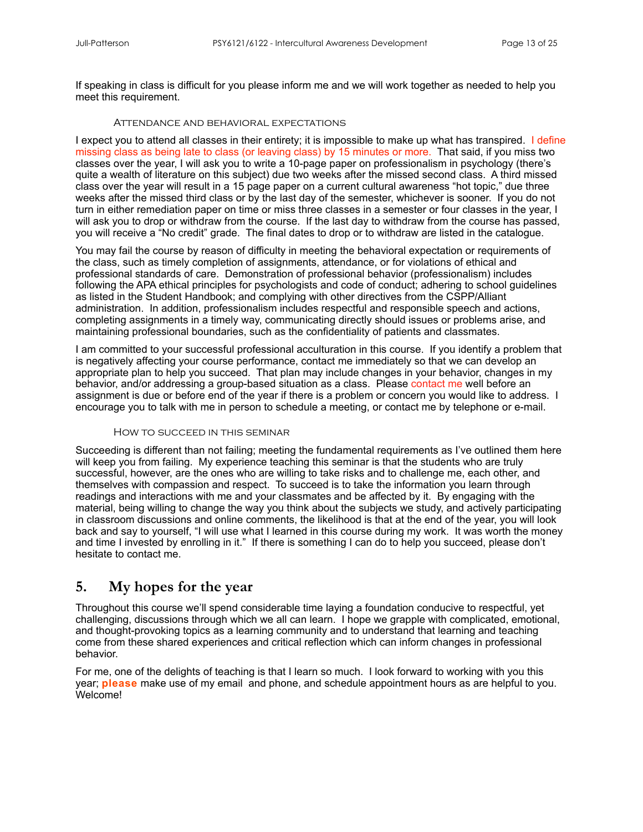If speaking in class is difficult for you please inform me and we will work together as needed to help you meet this requirement.

#### Attendance and behavioral expectations

I expect you to attend all classes in their entirety; it is impossible to make up what has transpired. I define missing class as being late to class (or leaving class) by 15 minutes or more. That said, if you miss two classes over the year, I will ask you to write a 10-page paper on professionalism in psychology (there's quite a wealth of literature on this subject) due two weeks after the missed second class. A third missed class over the year will result in a 15 page paper on a current cultural awareness "hot topic," due three weeks after the missed third class or by the last day of the semester, whichever is sooner. If you do not turn in either remediation paper on time or miss three classes in a semester or four classes in the year, I will ask you to drop or withdraw from the course. If the last day to withdraw from the course has passed, you will receive a "No credit" grade. The final dates to drop or to withdraw are listed in the catalogue.

You may fail the course by reason of difficulty in meeting the behavioral expectation or requirements of the class, such as timely completion of assignments, attendance, or for violations of ethical and professional standards of care. Demonstration of professional behavior (professionalism) includes following the APA ethical principles for psychologists and code of conduct; adhering to school guidelines as listed in the Student Handbook; and complying with other directives from the CSPP/Alliant administration. In addition, professionalism includes respectful and responsible speech and actions, completing assignments in a timely way, communicating directly should issues or problems arise, and maintaining professional boundaries, such as the confidentiality of patients and classmates.

I am committed to your successful professional acculturation in this course. If you identify a problem that is negatively affecting your course performance, contact me immediately so that we can develop an appropriate plan to help you succeed. That plan may include changes in your behavior, changes in my behavior, and/or addressing a group-based situation as a class. Please contact me well before an assignment is due or before end of the year if there is a problem or concern you would like to address. I encourage you to talk with me in person to schedule a meeting, or contact me by telephone or e-mail.

#### How to succeed in this seminar

Succeeding is different than not failing; meeting the fundamental requirements as I've outlined them here will keep you from failing. My experience teaching this seminar is that the students who are truly successful, however, are the ones who are willing to take risks and to challenge me, each other, and themselves with compassion and respect. To succeed is to take the information you learn through readings and interactions with me and your classmates and be affected by it. By engaging with the material, being willing to change the way you think about the subjects we study, and actively participating in classroom discussions and online comments, the likelihood is that at the end of the year, you will look back and say to yourself, "I will use what I learned in this course during my work. It was worth the money and time I invested by enrolling in it." If there is something I can do to help you succeed, please don't hesitate to contact me.

## **5. My hopes for the year**

Throughout this course we'll spend considerable time laying a foundation conducive to respectful, yet challenging, discussions through which we all can learn. I hope we grapple with complicated, emotional, and thought-provoking topics as a learning community and to understand that learning and teaching come from these shared experiences and critical reflection which can inform changes in professional behavior.

For me, one of the delights of teaching is that I learn so much. I look forward to working with you this year; **please** make use of my email and phone, and schedule appointment hours as are helpful to you. Welcome!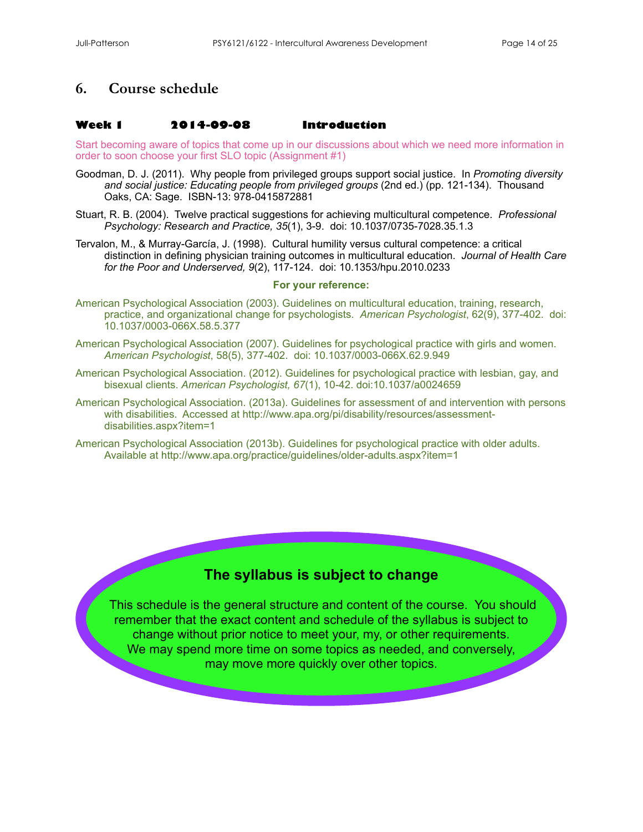# **6. Course schedule**

#### **Week 1 2014-09-08 Introduction**

Start becoming aware of topics that come up in our discussions about which we need more information in order to soon choose your first SLO topic (Assignment #1)

- Goodman, D. J. (2011). Why people from privileged groups support social justice. In *Promoting diversity and social justice: Educating people from privileged groups* (2nd ed.) (pp. 121-134). Thousand Oaks, CA: Sage. ISBN-13: 978-0415872881
- Stuart, R. B. (2004). Twelve practical suggestions for achieving multicultural competence. *Professional Psychology: Research and Practice, 35*(1), 3-9. doi: [10.1037/0735-7028.35.1.3](http://psycnet.apa.org/doi/10.1037/0735-7028.35.1.3)
- Tervalon, M., & Murray-García, J. (1998). Cultural humility versus cultural competence: a critical distinction in defining physician training outcomes in multicultural education. *Journal of Health Care for the Poor and Underserved, 9*(2), 117-124. doi: [10.1353/hpu.2010.0233](http://dx.doi.org/10.1353/hpu.2010.0233)

#### **For your reference:**

- American Psychological Association (2003). Guidelines on multicultural education, training, research, practice, and organizational change for psychologists. *American Psychologist*, 62(9), 377-402. doi: [10.1037/0003-066X.58.5.377](http://dx.doi.org/10.1037/0003-066X.58.5.377)
- American Psychological Association (2007). Guidelines for psychological practice with girls and women. *American Psychologist*, 58(5), 377-402. doi: [10.1037/0003-066X.62.9.949](http://dx.doi.org/10.1037/0003-066X.58.5.377)
- American Psychological Association. (2012). Guidelines for psychological practice with lesbian, gay, and bisexual clients. *American Psychologist, 67*(1), 10-42. doi:10.1037/a0024659
- American Psychological Association. (2013a). Guidelines for assessment of and intervention with persons with disabilities. Accessed at [http://www.apa.org/pi/disability/resources/assessment](http://www.apa.org/pi/disability/resources/assessment-disabilities.aspx?item=1)[disabilities.aspx?item=1](http://www.apa.org/pi/disability/resources/assessment-disabilities.aspx?item=1)
- American Psychological Association (2013b). Guidelines for psychological practice with older adults. Available at <http://www.apa.org/practice/guidelines/older-adults.aspx?item=1>

# **The syllabus is subject to change**

 This schedule is the general structure and content of the course. You should remember that the exact content and schedule of the syllabus is subject to change without prior notice to meet your, my, or other requirements. We may spend more time on some topics as needed, and conversely, may move more quickly over other topics.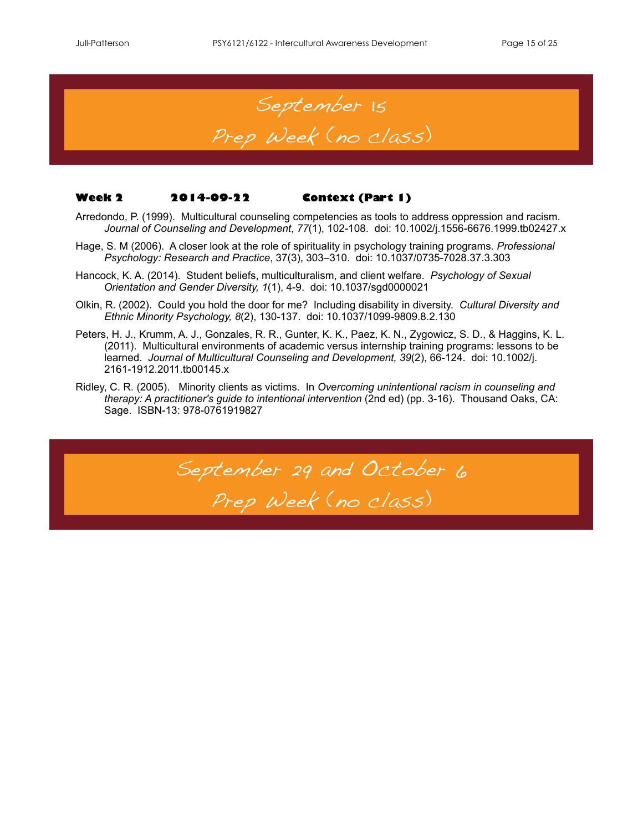

#### **Week 2 2014-09-22 Context (Part 1)**

- Arredondo, P. (1999). Multicultural counseling competencies as tools to address oppression and racism. *Journal of Counseling and Development*, *77*(1), 102-108. doi: [10.1002/j.1556-6676.1999.tb02427.x](http://dx.doi.org/10.1002/j.1556-6676.1999.tb02427.x)
- Hage, S. M (2006). A closer look at the role of spirituality in psychology training programs. *Professional Psychology: Research and Practice*, 37(3), 303–310. doi: [10.1037/0735-7028.37.3.303](http://dx.doi.org/10.1037/0735-7028.37.3.303)
- Hancock, K. A. (2014). Student beliefs, multiculturalism, and client welfare. *Psychology of Sexual Orientation and Gender Diversity, 1*(1), 4-9. doi: [10.1037/sgd0000021](http://psycnet.apa.org/doi/10.1037/sgd0000021)
- Olkin, R. (2002). Could you hold the door for me? Including disability in diversity. *Cultural Diversity and Ethnic Minority Psychology, 8*(2), 130-137. doi: [10.1037/1099-9809.8.2.130](http://dx.doi.org/10.1037/1099-9809.8.2.130)
- Peters, H. J., Krumm, A. J., Gonzales, R. R., Gunter, K. K., Paez, K. N., Zygowicz, S. D., & Haggins, K. L. (2011). Multicultural environments of academic versus internship training programs: lessons to be learned. *Journal of Multicultural Counseling and Development, 39*(2), 66-124. doi: 10.1002/j. 2161-1912.2011.tb00145.x
- Ridley, C. R. (2005). Minority clients as victims. In *Overcoming unintentional racism in counseling and therapy: A practitioner's guide to intentional intervention* (2nd ed) (pp. 3-16). Thousand Oaks, CA: Sage. ISBN-13: 978-0761919827

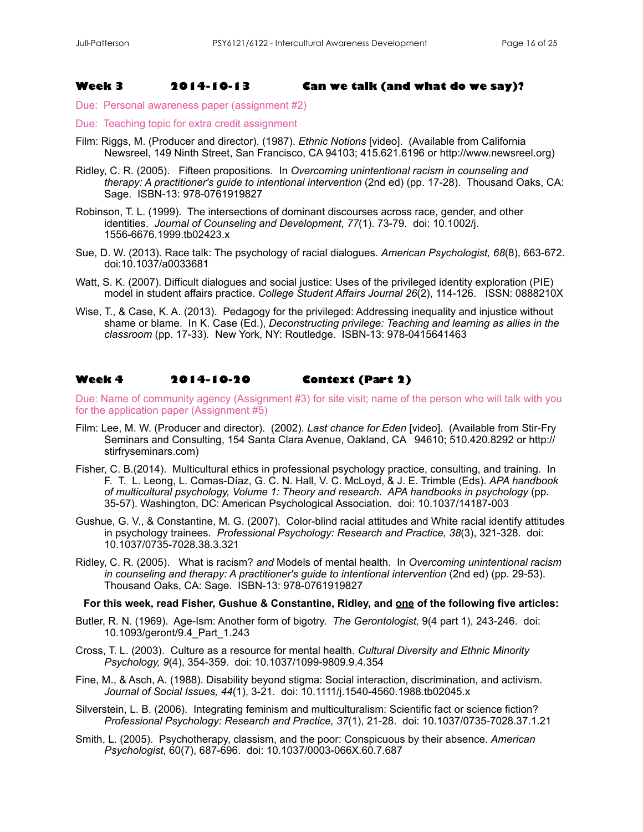#### **Week 3 2014-10-13 Can we talk (and what do we say)?**

Due: Personal awareness paper (assignment #2)

- Due: Teaching topic for extra credit assignment
- Film: Riggs, M. (Producer and director). (1987). *Ethnic Notions* [video]. (Available from California Newsreel, 149 Ninth Street, San Francisco, CA 94103; 415.621.6196 or <http://www.newsreel.org>)
- Ridley, C. R. (2005). Fifteen propositions. In *Overcoming unintentional racism in counseling and therapy: A practitioner's guide to intentional intervention* (2nd ed) (pp. 17-28). Thousand Oaks, CA: Sage. ISBN-13: 978-0761919827
- Robinson, T. L. (1999). The intersections of dominant discourses across race, gender, and other identities. *Journal of Counseling and Development*, *77*(1). 73-79. doi: [10.1002/j.](http://dx.doi.org/10.1002/j.1556-6676.1999.tb02423.x) [1556-6676.1999.tb02423.x](http://dx.doi.org/10.1002/j.1556-6676.1999.tb02423.x)
- Sue, D. W. (2013). Race talk: The psychology of racial dialogues. *American Psychologist, 68*(8), 663-672. doi[:10.1037/a0033681](http://dx.doi.org.ucsf.idm.oclc.org/10.1037/a0033681)
- Watt, S. K. (2007). Difficult dialogues and social justice: Uses of the privileged identity exploration (PIE) model in student affairs practice. *College Student Affairs Journal 26*(2), 114-126. ISSN: 0888210X
- Wise, T., & Case, K. A. (2013). Pedagogy for the privileged: Addressing inequality and injustice without shame or blame. In K. Case (Ed.), *Deconstructing privilege: Teaching and learning as allies in the classroom* (pp. 17-33)*.* New York, NY: Routledge. ISBN-13: 978-0415641463

#### **Week 4 2014-10-20 Context (Part 2)**

Due: Name of community agency (Assignment #3) for site visit; name of the person who will talk with you for the application paper (Assignment #5)

- Film: Lee, M. W. (Producer and director). (2002). *Last chance for Eden* [video]. (Available from Stir-Fry Seminars and Consulting, 154 Santa Clara Avenue, Oakland, CA 94610; 510.420.8292 or [http://](http://stirfryseminars.com) [stirfryseminars.com](http://stirfryseminars.com))
- Fisher, C. B.(2014). Multicultural ethics in professional psychology practice, consulting, and training. In F. T. L. Leong, L. Comas-Díaz, G. C. N. Hall, V. C. McLoyd, & J. E. Trimble (Eds). *APA handbook of multicultural psychology, Volume 1: Theory and research. APA handbooks in psychology* (pp. 35-57). Washington, DC: American Psychological Association. doi: [10.1037/14187-003](http://psycnet.apa.org.ucsf.idm.oclc.org/doi/10.1037/14187-036)
- Gushue, G. V., & Constantine, M. G. (2007). Color-blind racial attitudes and White racial identify attitudes in psychology trainees. *Professional Psychology: Research and Practice, 38*(3), 321-328. doi: [10.1037/0735-7028.38.3.321](http://dx.doi.org/10.1037/0735-7028.38.3.321)
- Ridley, C. R. (2005). What is racism? *and* Models of mental health. In *Overcoming unintentional racism in counseling and therapy: A practitioner's guide to intentional intervention* (2nd ed) (pp. 29-53). Thousand Oaks, CA: Sage. ISBN-13: 978-0761919827

#### **For this week, read Fisher, Gushue & Constantine, Ridley, and one of the following five articles:**

- Butler, R. N. (1969). Age-Ism: Another form of bigotry. *The Gerontologist,* 9(4 part 1), 243-246. doi: 10.1093/geront/9.4\_Part\_1.243
- Cross, T. L. (2003). Culture as a resource for mental health. *Cultural Diversity and Ethnic Minority Psychology, 9*(4), 354-359. doi: [10.1037/1099-9809.9.4.354](http://dx.doi.org/10.1037/1099-9809.9.4.354)
- Fine, M., & Asch, A. (1988). Disability beyond stigma: Social interaction, discrimination, and activism. *Journal of Social Issues, 44*(1), 3-21. doi: [10.1111/j.1540-4560.1988.tb02045.x](http://dx.doi.org/10.1111/j.1540-4560.1988.tb02045.x)
- Silverstein, L. B. (2006). Integrating feminism and multiculturalism: Scientific fact or science fiction? *Professional Psychology: Research and Practice, 37*(1), 21-28. doi: [10.1037/0735-7028.37.1.21](http://dx.doi.org/10.1037/0735-7028.37.1.21)
- Smith, L. (2005). Psychotherapy, classism, and the poor: Conspicuous by their absence. *American Psychologist*, 60(7), 687-696. doi: [10.1037/0003-066X.60.7.687](http://dx.doi.org/10.1037/0003-066X.60.7.687)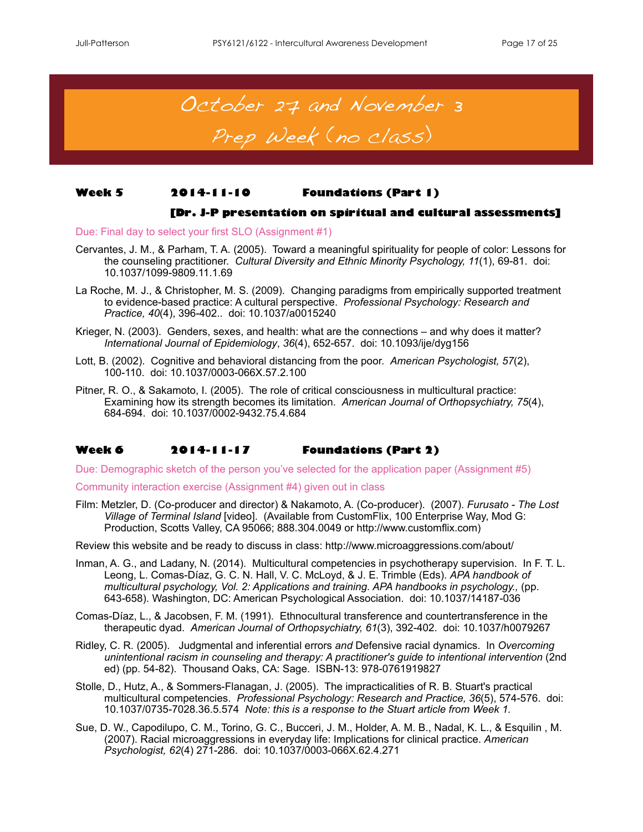

#### **Week 5 2014-11-10 Foundations (Part 1)**

#### **[Dr. J-P presentation on spiritual and cultural assessments]**

Due: Final day to select your first SLO (Assignment #1)

- Cervantes, J. M., & Parham, T. A. (2005). Toward a meaningful spirituality for people of color: Lessons for the counseling practitioner. *Cultural Diversity and Ethnic Minority Psychology, 11*(1), 69-81. doi: [10.1037/1099-9809.11.1.69](http://dx.doi.org/10.1037/1099-9809.11.1.69)
- La Roche, M. J., & Christopher, M. S. (2009). Changing paradigms from empirically supported treatment to evidence-based practice: A cultural perspective. *[Professional Psychology: Research and](http://academic.research.microsoft.com/Journal/9888/prof-psychol-res-pract-professional-psychology-research-and-practice)  [Practice,](http://academic.research.microsoft.com/Journal/9888/prof-psychol-res-pract-professional-psychology-research-and-practice) 40*(4), 396-402.. doi: [10.1037/a0015240](http://dx.doi.org/10.1037%2fa0015240)
- Krieger, N. (2003). Genders, sexes, and health: what are the connections and why does it matter? *International Journal of Epidemiology*, *36*(4), 652-657. doi: [10.1093/ije/dyg156](http://dx.doi.org/10.1093/ije/dyg156)
- Lott, B. (2002). Cognitive and behavioral distancing from the poor. *American Psychologist, 57*(2), 100-110. doi: [10.1037/0003-066X.57.2.100](http://dx.doi.org/10.1037/0003-066X.57.2.100)
- Pitner, R. O., & Sakamoto, I. (2005). The role of critical consciousness in multicultural practice: Examining how its strength becomes its limitation. *American Journal of Orthopsychiatry, 75*(4), 684-694. doi: [10.1037/0002-9432.75.4.684](http://dx.doi.org/10.1037/0002-9432.75.4.684)

#### **Week 6 2014-11-17 Foundations (Part 2)**

Due: Demographic sketch of the person you've selected for the application paper (Assignment #5)

Community interaction exercise (Assignment #4) given out in class

Film: Metzler, D. (Co-producer and director) & Nakamoto, A. (Co-producer). (2007). *Furusato - The Lost Village of Terminal Island* [video]. (Available from CustomFlix, 100 Enterprise Way, Mod G: Production, Scotts Valley, CA 95066; 888.304.0049 or [http://www.customflix.com\)](http://www.customflix.com)

Review this website and be ready to discuss in class: <http://www.microaggressions.com/about/>

- Inman, A. G., and Ladany, N. (2014). Multicultural competencies in psychotherapy supervision. In F. T. L. Leong, L. Comas-Díaz, G. C. N. Hall, V. C. McLoyd, & J. E. Trimble (Eds). *APA handbook of multicultural psychology, Vol. 2: Applications and training. APA handbooks in psychology.,* (pp. 643-658). Washington, DC: American Psychological Association. doi: [10.1037/14187-036](http://psycnet.apa.org.ucsf.idm.oclc.org/doi/10.1037/14187-036)
- Comas-Díaz, L., & Jacobsen, F. M. (1991). Ethnocultural transference and countertransference in the therapeutic dyad. *American Journal of Orthopsychiatry, 61*(3), 392-402. doi: 10.1037/h0079267
- Ridley, C. R. (2005). Judgmental and inferential errors *and* Defensive racial dynamics. In *Overcoming unintentional racism in counseling and therapy: A practitioner's guide to intentional intervention* (2nd ed) (pp. 54-82). Thousand Oaks, CA: Sage. ISBN-13: 978-0761919827
- Stolle, D., Hutz, A., & Sommers-Flanagan, J. (2005). The impracticalities of R. B. Stuart's practical multicultural competencies. *[Professional Psychology: Research and Practice](http://search.proquest.com.ucsf.idm.oclc.org/pubidlinkhandler/sng/pubtitle/Professional+Psychology:+Research+and+Practice/$N/60983/DocView/614432841/fulltext/DCC60201BC914FA8PQ/9?accountid=14525), 36*[\(5\)](http://search.proquest.com.ucsf.idm.oclc.org/indexingvolumeissuelinkhandler/60983/Professional+Psychology:+Research+and+Practice/02005Y10Y01$23Oct+2005$3b++Vol.+36+$285$29/36/5?accountid=14525), 574-576. doi: [10.1037/0735-7028.36.5.574](http://dx.doi.org.ucsf.idm.oclc.org/10.1037/0735-7028.36.5.574) *Note: this is a response to the Stuart article from Week 1.*
- Sue, D. W., Capodilupo, C. M., Torino, G. C., Bucceri, J. M., Holder, A. M. B., Nadal, K. L., & Esquilin , M. (2007). Racial microaggressions in everyday life: Implications for clinical practice. *American Psychologist, 62*(4) 271-286. doi: [10.1037/0003-066X.62.4.271](http://dx.doi.org/10.1037/0003-066X.62.4.271)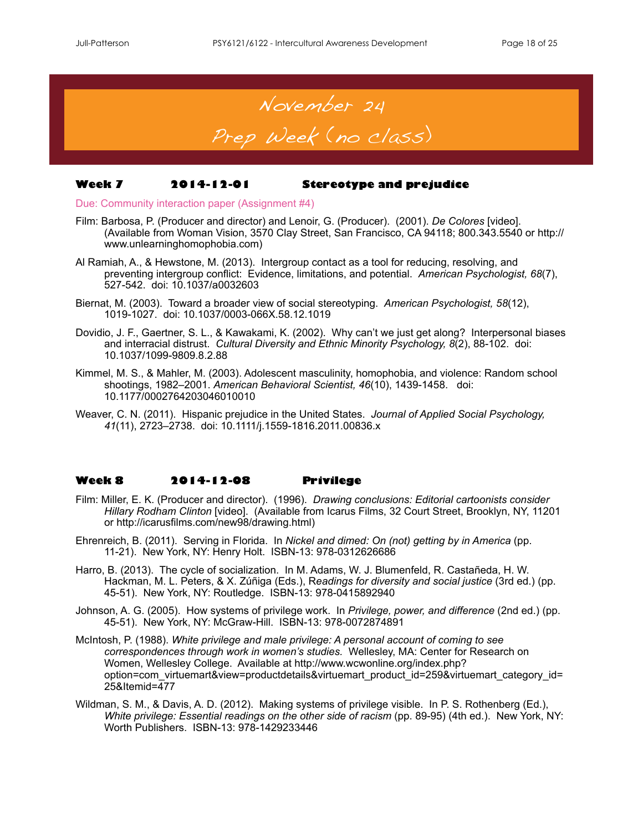

## **Week 7 2014-12-01 Stereotype and prejudice**

Due: Community interaction paper (Assignment #4)

- Film: Barbosa, P. (Producer and director) and Lenoir, G. (Producer). (2001). *De Colores* [video]. (Available from Woman Vision, 3570 Clay Street, San Francisco, CA 94118; 800.343.5540 or [http://](http://www.unlearninghomophobia.com) [www.unlearninghomophobia.com\)](http://www.unlearninghomophobia.com)
- Al Ramiah, A., & Hewstone, M. (2013). Intergroup contact as a tool for reducing, resolving, and preventing intergroup conflict: Evidence, limitations, and potential. *American Psychologist, 68*(7), 527-542. doi: 10.1037/a0032603
- Biernat, M. (2003). Toward a broader view of social stereotyping. *American Psychologist, 58*(12), 1019-1027. doi: [10.1037/0003-066X.58.12.1019](http://dx.doi.org/10.1037/0003-066X.58.12.1019)
- Dovidio, J. F., Gaertner, S. L., & Kawakami, K. (2002). Why can't we just get along? Interpersonal biases and interracial distrust. *Cultural Diversity and Ethnic Minority Psychology, 8*(2), 88-102. doi: [10.1037/1099-9809.8.2.88](http://dx.doi.org/10.1037/1099-9809.8.2.88)
- Kimmel, M. S., & Mahler, M. (2003). Adolescent masculinity, homophobia, and violence: Random school shootings, 1982–2001. *American Behavioral Scientist, 46*(10), 1439-1458. doi: [10.1177/0002764203046010010](http://dx.doi.org/10.1177/0002764203046010010)
- Weaver, C. N. (2011). Hispanic prejudice in the United States. *Journal of Applied Social Psychology, 41*(11), 2723–2738. doi: 10.1111/j.1559-1816.2011.00836.x

## **Week 8 2014-12-08 Privilege**

- Film: Miller, E. K. (Producer and director). (1996). *Drawing conclusions: Editorial cartoonists consider Hillary Rodham Clinton* [video]. (Available from Icarus Films, 32 Court Street, Brooklyn, NY, 11201 or [http://icarusfilms.com/new98/drawing.html\)](http://icarusfilms.com/new98/drawing.html)
- Ehrenreich, B. (2011). Serving in Florida. In *Nickel and dimed: On (not) getting by in America* (pp. 11-21). New York, NY: Henry Holt. ISBN-13: 978-0312626686
- Harro, B. (2013). The cycle of socialization. In M. Adams, W. J. Blumenfeld, R. Castañeda, H. W. Hackman, M. L. Peters, & X. Zúñiga (Eds.), R*eadings for diversity and social justice* (3rd ed.) (pp. 45-51). New York, NY: Routledge. ISBN-13: 978-0415892940
- Johnson, A. G. (2005). How systems of privilege work. In *Privilege, power, and difference* (2nd ed.) (pp. 45-51). New York, NY: McGraw-Hill. ISBN-13: 978-0072874891
- McIntosh, P. (1988). *White privilege and male privilege: A personal account of coming to see correspondences through work in women's studies.* Wellesley, MA: Center for Research on Women, Wellesley College. Available at http://www.wcwonline.org/index.php? option=com\_virtuemart&view=productdetails&virtuemart\_product\_id=259&virtuemart\_category\_id= 25&Itemid=477
- Wildman, S. M., & Davis, A. D. (2012). Making systems of privilege visible. In P. S. Rothenberg (Ed.), *White privilege: Essential readings on the other side of racism* (pp. 89-95) (4th ed.). New York, NY: Worth Publishers. ISBN-13: 978-1429233446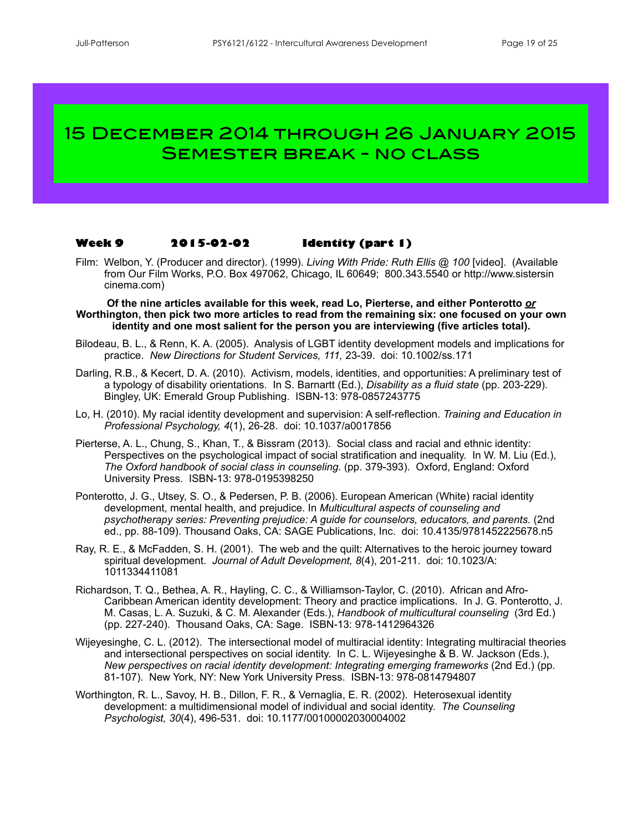# 15 December 2014 through 26 January 2015 Semester break - no class

#### **Week 9 2015-02-02 Identity (part 1)**

Film: Welbon, Y. (Producer and director). (1999). *Living With Pride: Ruth Ellis @ 100* [video]. (Available from Our Film Works, P.O. Box 497062, Chicago, IL 60649; 800.343.5540 or<http://www.sistersin> cinema.com)

**Of the nine articles available for this week, read Lo, Pierterse, and either Ponterotto** *or* **Worthington, then pick two more articles to read from the remaining six: one focused on your own identity and one most salient for the person you are interviewing (five articles total).**

- Bilodeau, B. L., & Renn, K. A. (2005). Analysis of LGBT identity development models and implications for practice. *New Directions for Student Services, 111,* 23-39. doi: 10.1002/ss.171
- Darling, R.B., & Kecert, D. A. (2010). Activism, models, identities, and opportunities: A preliminary test of a typology of disability orientations. In S. Barnartt (Ed.), *Disability as a fluid state* (pp. 203-229). Bingley, UK: Emerald Group Publishing. ISBN-13: 978-0857243775
- Lo, H. (2010). My racial identity development and supervision: A self-reflection. *Training and Education in Professional Psychology, 4*(1), 26-28. doi: 10.1037/a0017856
- Pierterse, A. L., Chung, S., Khan, T., & Bissram (2013). Social class and racial and ethnic identity: Perspectives on the psychological impact of social stratification and inequality. In W. M. Liu (Ed.), *The Oxford handbook of social class in counseling.* (pp. 379-393). Oxford, England: Oxford University Press. ISBN-13: 978-0195398250
- Ponterotto, J. G., Utsey, S. O., & Pedersen, P. B. (2006). European American (White) racial identity development, mental health, and prejudice. In *Multicultural aspects of counseling and psychotherapy series: Preventing prejudice: A guide for counselors, educators, and parents.* (2nd ed., pp. 88-109). Thousand Oaks, CA: SAGE Publications, Inc. doi: 10.4135/9781452225678.n5
- Ray, R. E., & McFadden, S. H. (2001). The web and the quilt: Alternatives to the heroic journey toward spiritual development. *Journal of Adult Development, 8*(4), 201-211. doi: [10.1023/A:](http://dx.doi.org/10.1023/A:1011334411081) [1011334411081](http://dx.doi.org/10.1023/A:1011334411081)
- Richardson, T. Q., Bethea, A. R., Hayling, C. C., & Williamson-Taylor, C. (2010). African and Afro-Caribbean American identity development: Theory and practice implications. In J. G. Ponterotto, J. M. Casas, L. A. Suzuki, & C. M. Alexander (Eds.), *Handbook of multicultural counseling* (3rd Ed.) (pp. 227-240). Thousand Oaks, CA: Sage. ISBN-13: 978-1412964326
- Wijeyesinghe, C. L. (2012). The intersectional model of multiracial identity: Integrating multiracial theories and intersectional perspectives on social identity. In C. L. Wijeyesinghe & B. W. Jackson (Eds.), *New perspectives on racial identity development: Integrating emerging frameworks (2nd Ed.) (pp.* 81-107). New York, NY: New York University Press. ISBN-13: 978-0814794807
- Worthington, R. L., Savoy, H. B., Dillon, F. R., & Vernaglia, E. R. (2002). Heterosexual identity development: a multidimensional model of individual and social identity. *The Counseling Psychologist, 30*(4), 496-531. doi: [10.1177/00100002030004002](http://dx.doi.org/10.1177%2f00100002030004002)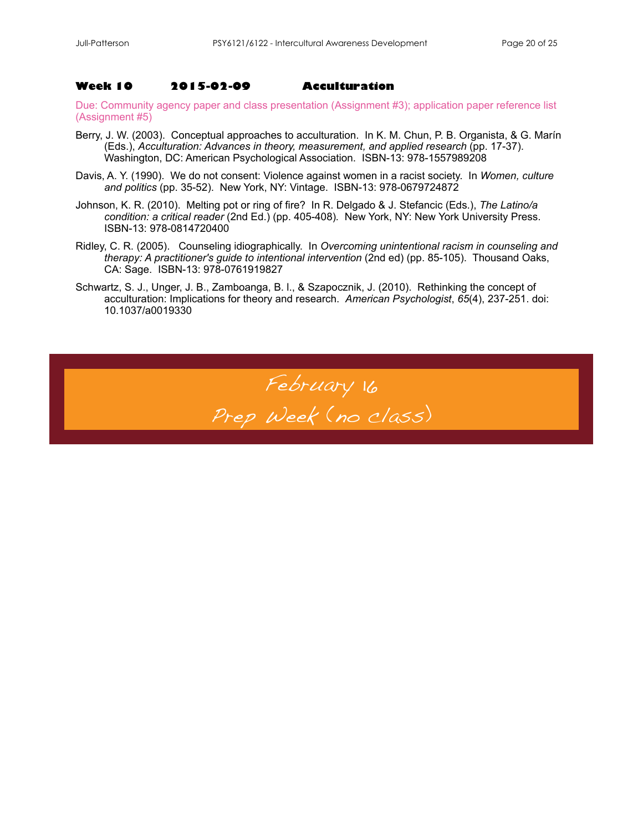#### **Week 10 2015-02-09 Acculturation**

Due: Community agency paper and class presentation (Assignment #3); application paper reference list (Assignment #5)

- Berry, J. W. (2003). Conceptual approaches to acculturation. In K. M. Chun, P. B. Organista, & G. Marín (Eds.), *Acculturation: Advances in theory, measurement, and applied research* (pp. 17-37). Washington, DC: American Psychological Association. ISBN-13: 978-1557989208
- Davis, A. Y. (1990). We do not consent: Violence against women in a racist society. In *Women, culture and politics* (pp. 35-52). New York, NY: Vintage. ISBN-13: 978-0679724872
- Johnson, K. R. (2010). Melting pot or ring of fire? In R. Delgado & J. Stefancic (Eds.), *The Latino/a condition: a critical reader* (2nd Ed.) (pp. 405-408)*.* New York, NY: New York University Press. ISBN-13: 978-0814720400
- Ridley, C. R. (2005). Counseling idiographically. In *Overcoming unintentional racism in counseling and therapy: A practitioner's guide to intentional intervention* (2nd ed) (pp. 85-105). Thousand Oaks, CA: Sage. ISBN-13: 978-0761919827
- Schwartz, S. J., Unger, J. B., Zamboanga, B. l., & Szapocznik, J. (2010). Rethinking the concept of acculturation: Implications for theory and research. *American Psychologist*, *65*(4), 237-251. doi: 10.1037/a0019330

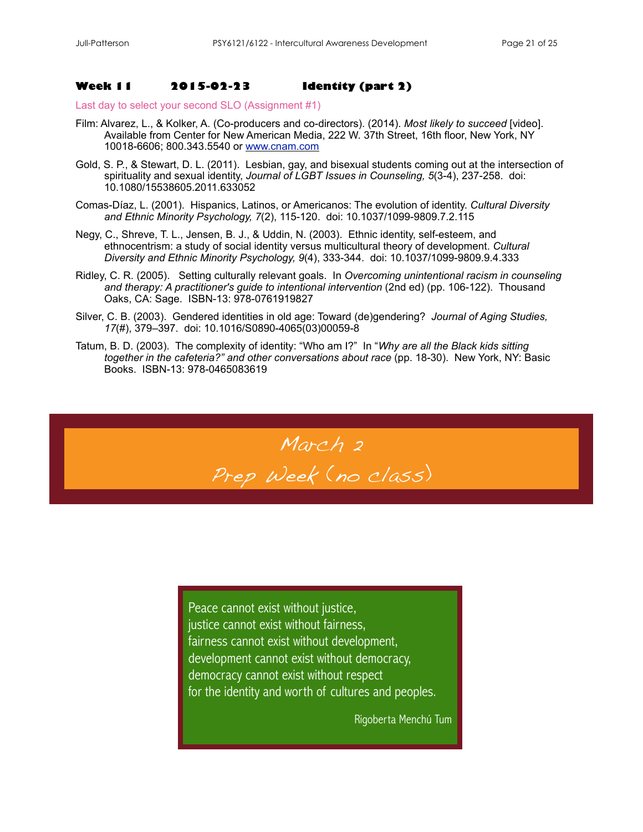#### **Week 11 2015-02-23 Identity (part 2)**

Last day to select your second SLO (Assignment #1)

- Film: Alvarez, L., & Kolker, A. (Co-producers and co-directors). (2014). *Most likely to succeed* [video]. Available from Center for New American Media, 222 W. 37th Street, 16th floor, New York, NY 10018-6606; 800.343.5540 or [www.cnam.com](http://www.cnam.com)
- Gold, S. P., & Stewart, D. L. (2011). Lesbian, gay, and bisexual students coming out at the intersection of spirituality and sexual identity, *Journal of LGBT Issues in Counseling, 5*(3-4), 237-258. doi: 10.1080/15538605.2011.633052
- Comas-Díaz, L. (2001). Hispanics, Latinos, or Americanos: The evolution of identity. *Cultural Diversity and Ethnic Minority Psychology, 7*(2), 115-120. doi: [10.1037/1099-9809.7.2.115](http://dx.doi.org/10.1037/1099-9809.7.2.115)
- Negy, C., Shreve, T. L., Jensen, B. J., & Uddin, N. (2003). Ethnic identity, self-esteem, and ethnocentrism: a study of social identity versus multicultural theory of development. *Cultural Diversity and Ethnic Minority Psychology, 9*(4), 333-344. doi: [10.1037/1099-9809.9.4.333](http://dx.doi.org/10.1037/1099-9809.9.4.333)
- Ridley, C. R. (2005). Setting culturally relevant goals. In *Overcoming unintentional racism in counseling and therapy: A practitioner's guide to intentional intervention* (2nd ed) (pp. 106-122). Thousand Oaks, CA: Sage. ISBN-13: 978-0761919827
- Silver, C. B. (2003). Gendered identities in old age: Toward (de)gendering? *Journal of Aging Studies, 17*(#), 379–397. doi: 10.1016/S0890-4065(03)00059-8
- Tatum, B. D. (2003). The complexity of identity: "Who am I?" In "*Why are all the Black kids sitting together in the cafeteria?" and other conversations about race* (pp. 18-30). New York, NY: Basic Books. ISBN-13: 978-0465083619



Peace cannot exist without justice, justice cannot exist without fairness, fairness cannot exist without development, development cannot exist without democracy, democracy cannot exist without respect for the identity and worth of cultures and peoples.

Rigoberta Menchú Tum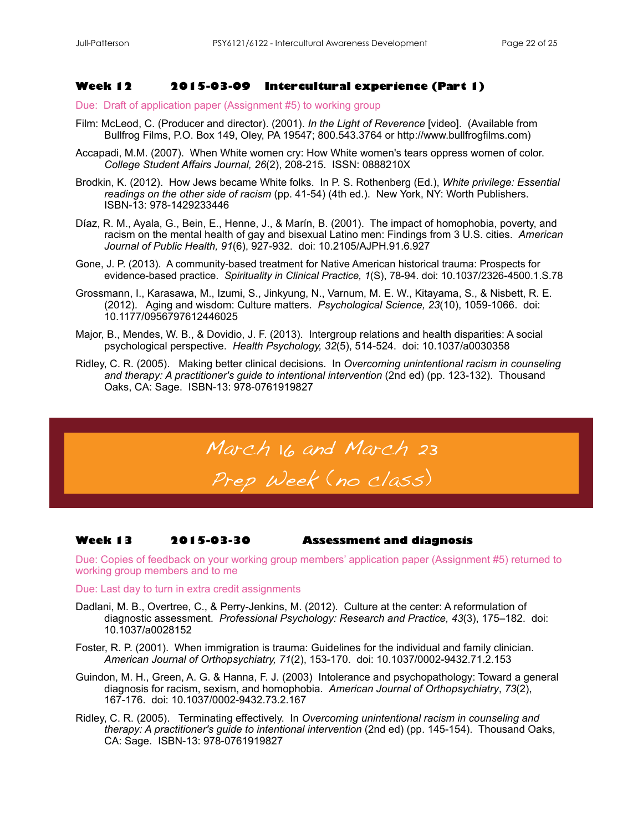#### **Week 12 2015-03-09 Intercultural experience (Part 1)**

Due: Draft of application paper (Assignment #5) to working group

- Film: McLeod, C. (Producer and director). (2001). *In the Light of Reverence* [video]. (Available from Bullfrog Films, P.O. Box 149, Oley, PA 19547; 800.543.3764 or<http://www.bullfrogfilms.com>)
- Accapadi, M.M. (2007). When White women cry: How White women's tears oppress women of color. *College Student Affairs Journal, 26*(2), 208-215. ISSN: 0888210X
- Brodkin, K. (2012). How Jews became White folks. In P. S. Rothenberg (Ed.), *White privilege: Essential readings on the other side of racism* (pp. 41-54) (4th ed.). New York, NY: Worth Publishers. ISBN-13: 978-1429233446
- Díaz, R. M., Ayala, G., Bein, E., Henne, J., & Marín, B. (2001). The impact of homophobia, poverty, and racism on the mental health of gay and bisexual Latino men: Findings from 3 U.S. cities. *American Journal of Public Health, 91*(6), 927-932. doi: [10.2105/AJPH.91.6.927](http://dx.doi.org/10.2105/AJPH.91.6.927)
- Gone, J. P. (2013). A community-based treatment for Native American historical trauma: Prospects for evidence-based practice. *Spirituality in Clinical Practice, 1*(S), 78-94. doi: [10.1037/2326-4500.1.S.78](http://psycnet.apa.org/doi/10.1037/2326-4500.1.S.78)
- Grossmann, I., Karasawa, M., Izumi, S., Jinkyung, N., Varnum, M. E. W., Kitayama, S., & Nisbett, R. E. (2012). Aging and wisdom: Culture matters. *Psychological Science, 23*(10), 1059-1066. doi: 10.1177/0956797612446025
- Major, B., Mendes, W. B., & Dovidio, J. F. (2013). Intergroup relations and health disparities: A social psychological perspective. *Health Psychology, 32*(5), 514-524. doi: 10.1037/a0030358
- Ridley, C. R. (2005). Making better clinical decisions. In *Overcoming unintentional racism in counseling and therapy: A practitioner's guide to intentional intervention* (2nd ed) (pp. 123-132). Thousand Oaks, CA: Sage. ISBN-13: 978-0761919827

# March 16 and March 23 Prep Week (no class)

#### **Week 13 2015-03-30 Assessment and diagnosis**

Due: Copies of feedback on your working group members' application paper (Assignment #5) returned to working group members and to me

Due: Last day to turn in extra credit assignments

- Dadlani, M. B., Overtree, C., & Perry-Jenkins, M. (2012). Culture at the center: A reformulation of diagnostic assessment. *Professional Psychology: Research and Practice, 43*(3), 175–182. doi: [10.1037/a0028152](http://dx.doi.org/10.1037/a0028152)
- Foster, R. P. (2001). When immigration is trauma: Guidelines for the individual and family clinician. *American Journal of Orthopsychiatry, 71*(2), 153-170. doi: [10.1037/0002-9432.71.2.153](http://dx.doi.org/10.1037/0002-9432.71.2.153)
- Guindon, M. H., Green, A. G. & Hanna, F. J. (2003) [Intolerance and psychopathology: Toward a general](http://ca2.csa.com/ids70/view_record.php?id=5&recnum=0&SID=on6d6glh3lgmbg1i90d3aer2q3)  [diagnosis for racism, sexism, and homophobia.](http://ca2.csa.com/ids70/view_record.php?id=5&recnum=0&SID=on6d6glh3lgmbg1i90d3aer2q3) *American Journal of Orthopsychiatry*, *73*(2), 167-176. doi: [10.1037/0002-9432.73.2.167](http://dx.doi.org/10.1037/0002-9432.73.2.167)
- Ridley, C. R. (2005). Terminating effectively. In *Overcoming unintentional racism in counseling and therapy: A practitioner's guide to intentional intervention* (2nd ed) (pp. 145-154). Thousand Oaks, CA: Sage. ISBN-13: 978-0761919827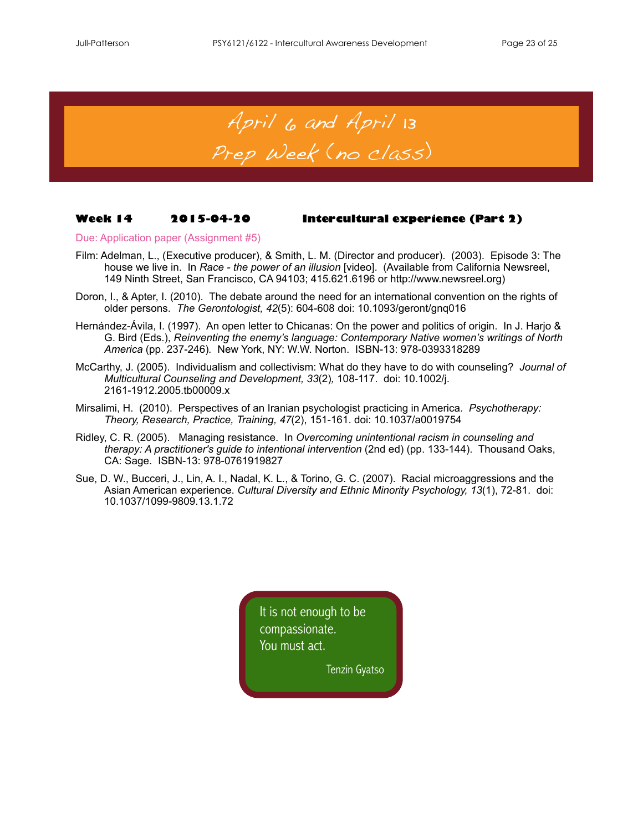April 6 and April 13

# Prep Week (no class)

#### **Week 14 2015-04-20 Intercultural experience (Part 2)**

Due: Application paper (Assignment #5)

- Film: Adelman, L., (Executive producer), & Smith, L. M. (Director and producer). (2003). Episode 3: The house we live in. In *Race - the power of an illusion* [video]. (Available from California Newsreel, 149 Ninth Street, San Francisco, CA 94103; 415.621.6196 or [http://www.newsreel.org\)](http://www.newsreel.org)
- Doron, I., & Apter, I. (2010). The debate around the need for an international convention on the rights of older persons. *The Gerontologist, 42*(5): 604-608 doi: 10.1093/geront/gnq016
- Hernández-Ávila, I. (1997). An open letter to Chicanas: On the power and politics of origin. In J. Harjo & G. Bird (Eds.), *Reinventing the enemy's language: Contemporary Native women's writings of North America* (pp. 237-246)*.* New York, NY: W.W. Norton. ISBN-13: 978-0393318289
- McCarthy, J. (2005). Individualism and collectivism: What do they have to do with counseling? *Journal of Multicultural Counseling and Development, 33*(2)*,* 108-117. doi: [10.1002/j.](http://psycnet.apa.org/doi/10.1002/j.2161-1912.2005.tb00009.x) [2161-1912.2005.tb00009.x](http://psycnet.apa.org/doi/10.1002/j.2161-1912.2005.tb00009.x)
- Mirsalimi, H. (2010). Perspectives of an Iranian psychologist practicing in America. *Psychotherapy: Theory, Research, Practice, Training, 47*(2), 151-161. doi: 10.1037/a0019754
- Ridley, C. R. (2005). Managing resistance. In *Overcoming unintentional racism in counseling and therapy: A practitioner's guide to intentional intervention* (2nd ed) (pp. 133-144). Thousand Oaks, CA: Sage. ISBN-13: 978-0761919827
- Sue, D. W., Bucceri, J., Lin, A. I., Nadal, K. L., & Torino, G. C. (2007). Racial microaggressions and the Asian American experience. *Cultural Diversity and Ethnic Minority Psychology, 13*(1), 72-81. doi: 10.1037/1099-9809.13.1.72

It is not enough to be compassionate. You must act.

Tenzin Gyatso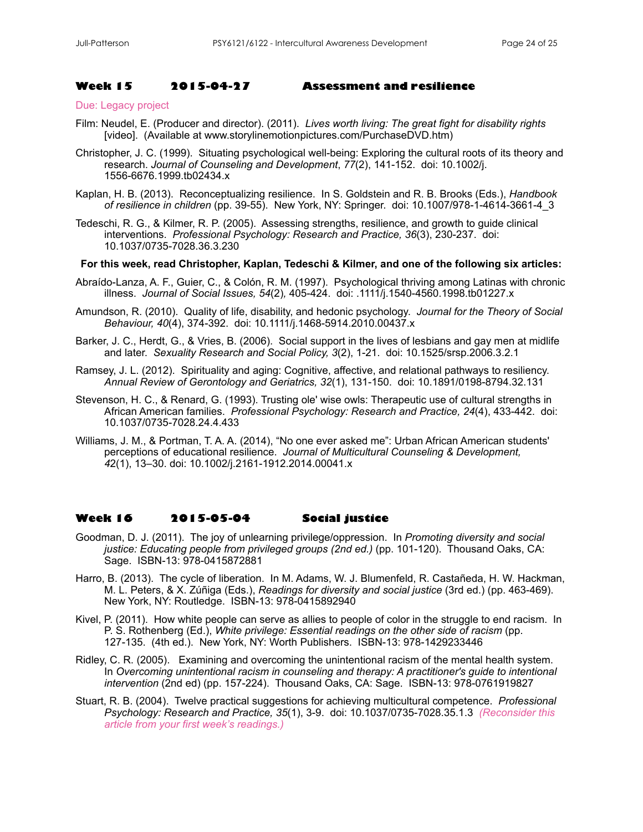#### **Week 15 2015-04-27 Assessment and resilience**

#### Due: Legacy project

- Film: Neudel, E. (Producer and director). (2011). *Lives worth living: The great fight for disability rights* [video]. (Available at [www.storylinemotionpictures.com/PurchaseDVD.htm](http://www.includingsamuel.com))
- Christopher, J. C. (1999). Situating psychological well-being: Exploring the cultural roots of its theory and research. *Journal of Counseling and Development*, *77*(2), 141-152. doi: [10.1002/j.](http://dx.doi.org/10.1002/j.1556-6676.1999.tb02434.x) [1556-6676.1999.tb02434.x](http://dx.doi.org/10.1002/j.1556-6676.1999.tb02434.x)
- Kaplan, H. B. (2013). [Reconceptualizing](https://www.google.com/search?client=firefox-a&hs=3he&rls=org.mozilla:en-US:official&channel=sb&biw=2133&bih=1310&q=Kaplan,+H.+B.+%282013%29.+Reconceptualizing+resilience.&spell=1&sa=X&ei=-2FsU4P4HMjpoAT534KwAw&ved=0CCMQBSgA) resilience. In S. Goldstein and R. B. Brooks (Eds.), *Handbook of resilience in children* (pp. 39-55). New York, NY: Springer. doi: 10.1007/978-1-4614-3661-4\_3
- [Tedeschi, R. G.,](http://ca2.csa.com/ids70/p_search_form.php?field=au&query=tedeschi+richard+g&log=literal&resolve_au&SID=bpu9pnrn6nuvip0uukn2rdk1o4) & [Kilmer, R. P.](http://ca2.csa.com/ids70/p_search_form.php?field=au&query=kilmer+ryan+p&log=literal&resolve_au&SID=bpu9pnrn6nuvip0uukn2rdk1o4) (2005). [Assessing strengths, resilience, and growth to guide clinical](http://ca2.csa.com/ids70/view_record.php?id=6&recnum=13&SID=bpu9pnrn6nuvip0uukn2rdk1o4)  [interventions.](http://ca2.csa.com/ids70/view_record.php?id=6&recnum=13&SID=bpu9pnrn6nuvip0uukn2rdk1o4) *Professional Psychology: Research and Practice, 36*(3), 230-237. doi: [10.1037/0735-7028.36.3.230](http://dx.doi.org/10.1037/0735-7028.36.3.230)

#### **For this week, read Christopher, Kaplan, Tedeschi & Kilmer, and one of the following six articles:**

- Abraído-Lanza, A. F., Guier, C., & Colón, R. M. (1997). Psychological thriving among Latinas with chronic illness. *Journal of Social Issues, 54*(2)*,* 405-424. doi: .1111/j.1540-4560.1998.tb01227.x
- Amundson, R. (2010). Quality of life, disability, and hedonic psychology. *Journal for the Theory of Social Behaviour, 40*(4), 374-392. doi: [10.1111/j.1468-5914.2010.00437.x](http://dx.doi.org/10.1111%2fj.1468-5914.2010.00437.x)
- Barker, J. C., Herdt, G., & Vries, B. (2006). Social support in the lives of lesbians and gay men at midlife and later. *Sexuality Research and Social Policy, 3*(2), 1-21. doi: 10.1525/srsp.2006.3.2.1
- Ramsey, J. L. (2012). Spirituality and aging: Cognitive, affective, and relational pathways to resiliency. *Annual Review of Gerontology and Geriatrics, 32*(1), 131-150. doi: 10.1891/0198-8794.32.131
- Stevenson, H. C., & Renard, G. (1993). Trusting ole' wise owls: Therapeutic use of cultural strengths in African American families. *Professional Psychology: Research and Practice, 24*(4), 433-442. doi: [10.1037/0735-7028.24.4.433](http://psycnet.apa.org/doi/10.1037/0735-7028.24.4.433)
- Williams, J. M., & Portman, T. A. A. (2014), "No one ever asked me": Urban African American students' perceptions of educational resilience. *Journal of Multicultural Counseling & Development, 4*2(1), 13–30. doi: 10.1002/j.2161-1912.2014.00041.x

#### **Week 16 2015-05-04 Social justice**

- Goodman, D. J. (2011). The joy of unlearning privilege/oppression. In *Promoting diversity and social justice: Educating people from privileged groups (2nd ed.)* (pp. 101-120). Thousand Oaks, CA: Sage. ISBN-13: 978-0415872881
- Harro, B. (2013). The cycle of liberation. In M. Adams, W. J. Blumenfeld, R. Castañeda, H. W. Hackman, M. L. Peters, & X. Zúñiga (Eds.), *Readings for diversity and social justice* (3rd ed.) (pp. 463-469). New York, NY: Routledge. ISBN-13: 978-0415892940
- Kivel, P. (2011). How white people can serve as allies to people of color in the struggle to end racism. In P. S. Rothenberg (Ed.), *White privilege: Essential readings on the other side of racism* (pp. 127-135. (4th ed.). New York, NY: Worth Publishers. ISBN-13: 978-1429233446
- Ridley, C. R. (2005). Examining and overcoming the unintentional racism of the mental health system. In *Overcoming unintentional racism in counseling and therapy: A practitioner's guide to intentional intervention* (2nd ed) (pp. 157-224). Thousand Oaks, CA: Sage. ISBN-13: 978-0761919827
- Stuart, R. B. (2004). Twelve practical suggestions for achieving multicultural competence. *Professional Psychology: Research and Practice, 35*(1), 3-9. doi: [10.1037/0735-7028.35.1.3](http://psycnet.apa.org/doi/10.1037/0735-7028.35.1.3) *(Reconsider this article from your first week's readings.)*